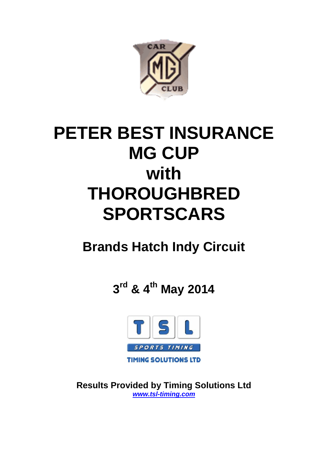

# **PETER BEST INSURANCE MG CUP with THOROUGHBRED SPORTSCARS**

# **Brands Hatch Indy Circuit**

**3rd & 4th May 2014**



**Results Provided by Timing Solutions Ltd** *www.tsl-timing.com*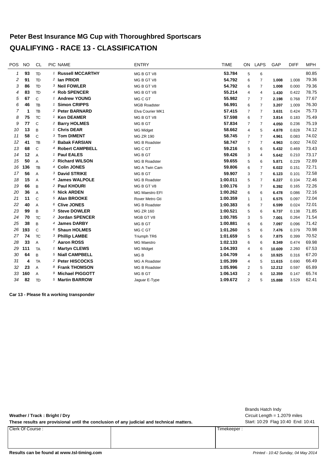# **Peter Best Insurance MG Cup with Thoroughbred Sportscars QUALIFYING - RACE 13 - CLASSIFICATION**

| POS | <b>NO</b> | <b>CL</b>    | PIC NAME                      | <b>ENTRY</b>          | <b>TIME</b> | ON             | LAPS           | GAP    | <b>DIFF</b> | <b>MPH</b> |
|-----|-----------|--------------|-------------------------------|-----------------------|-------------|----------------|----------------|--------|-------------|------------|
| 1   | 93        | <b>TD</b>    | <sup>1</sup> Russell MCCARTHY | MG B GT V8            | 53.784      | 5              | 6              |        |             | 80.85      |
| 2   | 91        | <b>TD</b>    | <sup>2</sup> Ian PRIOR        | MG B GT V8            | 54.792      | 6              | 7              | 1.008  | 1.008       | 79.36      |
| 3   | 86        | <b>TD</b>    | 3 Neil FOWLER                 | MG B GT V8            | 54.792      | 6              | 7              | 1.008  | 0.000       | 79.36      |
| 4   | 83        | <b>TD</b>    | 4 Rob SPENCER                 | MG B GT V8            | 55.214      | 4              | $\overline{4}$ | 1.430  | 0.422       | 78.75      |
| 5   | 67        | $\mathbb C$  | <sup>1</sup> Andrew YOUNG     | MG C GT               | 55.982      | $\overline{7}$ | $\overline{7}$ | 2.198  | 0.768       | 77.67      |
| 6   | 46        | TB           | <sup>1</sup> Simon CRIPPS     | <b>MGB Roadster</b>   | 56.991      | 6              | 7              | 3.207  | 1.009       | 76.30      |
| 7   | 1         | TB           | 2 Peter BARNARD               | Elva Courier MK1      | 57.415      | $\overline{7}$ | $\overline{7}$ | 3.631  | 0.424       | 75.73      |
| 8   | 75        | <b>TC</b>    | <sup>1</sup> Ken DEAMER       | MG B GT V8            | 57.598      | 6              | $\overline{7}$ | 3.814  | 0.183       | 75.49      |
| 9   | 77        | $\mathsf{C}$ | <sup>2</sup> Barry HOLMES     | MG B GT               | 57.834      | $\overline{7}$ | $\overline{7}$ | 4.050  | 0.236       | 75.19      |
| 10  | 13        | B            | <sup>1</sup> Chris DEAR       | <b>MG Midget</b>      | 58.662      | $\overline{4}$ | 5              | 4.878  | 0.828       | 74.12      |
| 11  | 58        | $\mathsf{C}$ | 3 Tom DIMENT                  | <b>MG ZR 190</b>      | 58.745      | $\overline{7}$ | $\overline{7}$ | 4.961  | 0.083       | 74.02      |
| 12  | 41        | TB           | 3 Babak FARSIAN               | MG B Roadster         | 58.747      | $\overline{7}$ | $\overline{7}$ | 4.963  | 0.002       | 74.02      |
| 13  | 68        | $\mathsf{C}$ | 4 Robert CAMPBELL             | MG C GT               | 59.216      | 5              | 6              | 5.432  | 0.469       | 73.43      |
| 14  | 12        | A            | <sup>1</sup> Paul EALES       | MG B GT               | 59.426      | 3              | $\overline{4}$ | 5.642  | 0.210       | 73.17      |
| 15  | 50        | A            | 2 Richard WILSON              | <b>MG B Roadster</b>  | 59.655      | 5              | 6              | 5.871  | 0.229       | 72.89      |
| 16  | 136       | TB           | 4 Colin JONES                 | MG A Twin Cam         | 59.806      | 6              | $\overline{7}$ | 6.022  | 0.151       | 72.71      |
| 17  | 56        | A            | 3 David STRIKE                | MG B GT               | 59.907      | 3              | $\overline{7}$ | 6.123  | 0.101       | 72.58      |
| 18  | 15        | A            | 4 James WALPOLE               | <b>MG B Roadster</b>  | 1:00.011    | 5              | $\overline{7}$ | 6.227  | 0.104       | 72.46      |
| 19  | 66        | B            | 2 Paul KHOURI                 | MG B GT V8            | 1:00.176    | 3              | $\overline{7}$ | 6.392  | 0.165       | 72.26      |
| 20  | 36        | A            | <sup>5</sup> Nick ARDEN       | <b>MG Maestro EFI</b> | 1:00.262    | 6              | 6              | 6.478  | 0.086       | 72.16      |
| 21  | 11        | $\mathsf{C}$ | 5 Alan BROOKE                 | Rover Metro Gti       | 1:00.359    | $\mathbf{1}$   | $\mathbf{1}$   | 6.575  | 0.097       | 72.04      |
| 22  | 40        | A            | 6 Clive JONES                 | <b>MG B Roadster</b>  | 1:00.383    | 6              | 7              | 6.599  | 0.024       | 72.01      |
| 23  | 99        | B            | 3 Steve DOWLER                | <b>MG ZR 160</b>      | 1:00.521    | 5              | 6              | 6.737  | 0.138       | 71.85      |
| 24  | 70        | TC.          | <sup>2</sup> Jordan SPENCER   | MGB GT V8             | 1:00.785    | 3              | 5              | 7.001  | 0.264       | 71.54      |
| 25  | 38        | B            | 4 James DARBY                 | MG B GT               | 1:00.881    | 6              | 6              | 7.097  | 0.096       | 71.42      |
| 26  | 193       | $\mathsf{C}$ | 6 Shaun HOLMES                | MG C GT               | 1:01.260    | 5              | 6              | 7.476  | 0.379       | 70.98      |
| 27  | 74        | <b>TC</b>    | 3 Phillip LAMBE               | Triumph TR6           | 1:01.659    | 5              | 6              | 7.875  | 0.399       | 70.52      |
| 28  | 33        | A            | 7 Aaron ROSS                  | <b>MG Maestro</b>     | 1:02.133    | 6              | 6              | 8.349  | 0.474       | 69.98      |
| 29  | 111       | <b>TA</b>    | 1 Martyn CLEWS                | <b>MG Midget</b>      | 1:04.393    | $\overline{4}$ | 6              | 10.609 | 2.260       | 67.53      |
| 30  | 64        | B            | 5 Niall CAMPBELL              | MG <sub>B</sub>       | 1:04.709    | 4              | 6              | 10.925 | 0.316       | 67.20      |
| 31  | 4         | <b>TA</b>    | 2 Peter HISCOCKS              | <b>MG A Roadster</b>  | 1:05.399    | 4              | 5              | 11.615 | 0.690       | 66.49      |
| 32  | 23        | A            | 8 Frank THOMSON               | MG B Roadster         | 1:05.996    | 2              | 5              | 12.212 | 0.597       | 65.89      |
| 33  | 160       | A            | 9 Michael PIGGOTT             | MG B GT               | 1:06.143    | 2              | 6              | 12.359 | 0.147       | 65.74      |
| 34  | 82        | <b>TD</b>    | 5 Martin BARROW               | Jaguar E-Type         | 1:09.672    | $\overline{2}$ | 5              | 15.888 | 3.529       | 62.41      |

**Car 13 - Please fit a working transponder**

**Weather / Track : Bright / Dry**

These results are provisional until the conclusion of any judicial and technical matters. Start: 10:29 Flag 10:40 End: 10:41

Clerk Of Course : Timekeeper :

Circuit Length = 1.2079 miles Brands Hatch Indy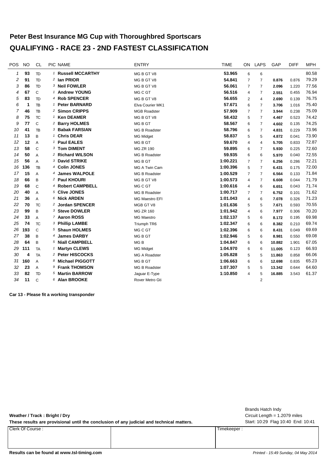## **Peter Best Insurance MG Cup with Thoroughbred Sportscars QUALIFYING - RACE 23 - 2ND FASTEST CLASSIFICATION**

| POS | <b>NO</b> | <b>CL</b>     | PIC NAME                      | <b>ENTRY</b>          | <b>TIME</b> | ON             | <b>LAPS</b>    | GAP    | <b>DIFF</b> | <b>MPH</b> |
|-----|-----------|---------------|-------------------------------|-----------------------|-------------|----------------|----------------|--------|-------------|------------|
| 1   | 93        | <b>TD</b>     | <sup>1</sup> Russell MCCARTHY | MG B GT V8            | 53.965      | 6              | 6              |        |             | 80.58      |
| 2   | 91        | <b>TD</b>     | <sup>2</sup> Ian PRIOR        | MG B GT V8            | 54.841      | $\overline{7}$ | 7              | 0.876  | 0.876       | 79.29      |
| 3   | 86        | <b>TD</b>     | 3 Neil FOWLER                 | MG B GT V8            | 56.061      | $\overline{7}$ | $\overline{7}$ | 2.096  | 1.220       | 77.56      |
| 4   | 67        | $\mathsf{C}$  | <sup>1</sup> Andrew YOUNG     | MG C GT               | 56.516      | 4              | 7              | 2.551  | 0.455       | 76.94      |
| 5   | 83        | <b>TD</b>     | 4 Rob SPENCER                 | MG B GT V8            | 56.655      | $\overline{2}$ | 4              | 2.690  | 0.139       | 76.75      |
| 6   | 1         | TB            | <sup>1</sup> Peter BARNARD    | Elva Courier MK1      | 57.671      | 6              | $\overline{7}$ | 3.706  | 1.016       | 75.40      |
| 7   | 46        | <b>TB</b>     | 2 Simon CRIPPS                | <b>MGB Roadster</b>   | 57.909      | $\overline{7}$ | $\overline{7}$ | 3.944  | 0.238       | 75.09      |
| 8   | 75        | <b>TC</b>     | <sup>1</sup> Ken DEAMER       | MG B GT V8            | 58.432      | 5              | 7              | 4.467  | 0.523       | 74.42      |
| 9   | 77        | $\mathcal{C}$ | <sup>2</sup> Barry HOLMES     | MG B GT               | 58.567      | 6              | $\overline{7}$ | 4.602  | 0.135       | 74.25      |
| 10  | 41        | TB            | 3 Babak FARSIAN               | MG B Roadster         | 58.796      | 6              | $\overline{7}$ | 4.831  | 0.229       | 73.96      |
| 11  | 13        | B             | <sup>1</sup> Chris DEAR       | <b>MG Midget</b>      | 58.837      | 5              | 5              | 4.872  | 0.041       | 73.90      |
| 12  | 12        | A             | <sup>1</sup> Paul EALES       | MG B GT               | 59.670      | 4              | 4              | 5.705  | 0.833       | 72.87      |
| 13  | 58        | $\mathcal{C}$ | 3 Tom DIMENT                  | <b>MG ZR 190</b>      | 59.895      | 6              | 7              | 5.930  | 0.225       | 72.60      |
| 14  | 50        | A             | 2 Richard WILSON              | <b>MG B Roadster</b>  | 59.935      | 6              | 6              | 5.970  | 0.040       | 72.55      |
| 15  | 56        | A             | 3 David STRIKE                | MG B GT               | 1:00.221    | $\overline{7}$ | $\overline{7}$ | 6.256  | 0.286       | 72.21      |
| 16  | 136       | TB            | 4 Colin JONES                 | MG A Twin Cam         | 1:00.396    | 5              | $\overline{7}$ | 6.431  | 0.175       | 72.00      |
| 17  | 15        | A             | 4 James WALPOLE               | MG B Roadster         | 1:00.529    | $\overline{7}$ | $\overline{7}$ | 6.564  | 0.133       | 71.84      |
| 18  | 66        | B             | 2 Paul KHOURI                 | MG B GT V8            | 1:00.573    | 4              | $\overline{7}$ | 6.608  | 0.044       | 71.79      |
| 19  | 68        | $\mathsf{C}$  | 4 Robert CAMPBELL             | MG C GT               | 1:00.616    | 4              | 6              | 6.651  | 0.043       | 71.74      |
| 20  | 40        | A             | 5 Clive JONES                 | <b>MG B Roadster</b>  | 1:00.717    | $\overline{7}$ | $\overline{7}$ | 6.752  | 0.101       | 71.62      |
| 21  | 36        | A             | 6 Nick ARDEN                  | <b>MG Maestro EFI</b> | 1:01.043    | 4              | 6              | 7.078  | 0.326       | 71.23      |
| 22  | 70        | <b>TC</b>     | <sup>2</sup> Jordan SPENCER   | MGB GT V8             | 1:01.636    | 5              | 5              | 7.671  | 0.593       | 70.55      |
| 23  | 99        | B             | 3 Steve DOWLER                | <b>MG ZR 160</b>      | 1:01.942    | 4              | 6              | 7.977  | 0.306       | 70.20      |
| 24  | 33        | A             | 7 Aaron ROSS                  | <b>MG Maestro</b>     | 1:02.137    | 5              | 6              | 8.172  | 0.195       | 69.98      |
| 25  | 74        | TC.           | 3 Phillip LAMBE               | Triumph TR6           | 1:02.347    | 6              | 6              | 8.382  | 0.210       | 69.74      |
| 26  | 193       | $\mathsf{C}$  | 5 Shaun HOLMES                | MG C GT               | 1:02.396    | 6              | 6              | 8.431  | 0.049       | 69.69      |
| 27  | 38        | B             | 4 James DARBY                 | MG B GT               | 1:02.946    | 5              | 6              | 8.981  | 0.550       | 69.08      |
| 28  | 64        | B             | 5 Niall CAMPBELL              | MG <sub>B</sub>       | 1:04.847    | 6              | 6              | 10.882 | 1.901       | 67.05      |
| 29  | 111       | <b>TA</b>     | <sup>1</sup> Martyn CLEWS     | <b>MG Midget</b>      | 1:04.970    | 6              | 6              | 11.005 | 0.123       | 66.93      |
| 30  | 4         | <b>TA</b>     | 2 Peter HISCOCKS              | MG A Roadster         | 1:05.828    | 5              | 5              | 11.863 | 0.858       | 66.06      |
| 31  | 160       | A             | 8 Michael PIGGOTT             | MG B GT               | 1:06.663    | 6              | 6              | 12.698 | 0.835       | 65.23      |
| 32  | 23        | A             | 9 Frank THOMSON               | <b>MG B Roadster</b>  | 1:07.307    | 5              | 5              | 13.342 | 0.644       | 64.60      |
| 33  | 82        | <b>TD</b>     | 5 Martin BARROW               | Jaguar E-Type         | 1:10.850    | 4              | 5              | 16.885 | 3.543       | 61.37      |
| 34  | 11        | $\mathcal{C}$ | 6 Alan BROOKE                 | Rover Metro Gti       |             |                | $\overline{2}$ |        |             |            |

**Car 13 - Please fit a working transponder**

**Weather / Track : Bright / Dry**

These results are provisional until the conclusion of any judicial and technical matters. Start: 10:29 Flag 10:40 End: 10:41

Clerk Of Course : Timekeeper :

Circuit Length = 1.2079 miles Brands Hatch Indy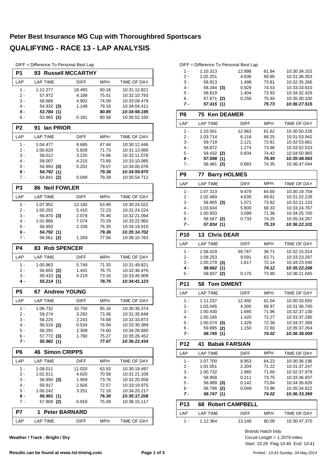# **Peter Best Insurance MG Cup with Thoroughbred Sportscars QUALIFYING - RACE 13 - LAP ANALYSIS**

| DIFF = Difference To Personal Best Lap |  |  |  |  |  |  |
|----------------------------------------|--|--|--|--|--|--|
|----------------------------------------|--|--|--|--|--|--|

| P1             | 93                          | <b>Russell MCCARTHY</b> |                |                              |
|----------------|-----------------------------|-------------------------|----------------|------------------------------|
| LAP            | <b>LAP TIME</b>             | <b>DIFF</b>             | MPH            | TIME OF DAY                  |
| 1 -            | 1:12.277                    | 18.493                  | 60.16          | 10:31:12.821                 |
| 2 -            | 57.972                      | 4.188                   | 75.01          | 10:32:10.793                 |
| 3 -            | 58.686                      | 4.902                   | 74.09          | 10:33:09.479                 |
| 4 -            | 54.932 (3)                  | 1.148                   | 79.16          | 10:34:04.411                 |
| 5 -            | 53.784 (1)                  |                         | 80.85          | 10:34:58.195                 |
| 6 -            | 53.965 (2)                  | 0.181                   | 80.58          | 10:35:52.160                 |
| P <sub>2</sub> | lan PRIOR<br>91             |                         |                |                              |
| LAP            | <b>LAP TIME</b>             | <b>DIFF</b>             | <b>MPH</b>     | TIME OF DAY                  |
| 1 -            | 1:04.477                    | 9.685                   | 67.44          | 10:30:12.446                 |
| 2 -            | 1:00.620                    | 5.828                   | 71.73          | 10:31:13.066                 |
| 3 -            | 58.012                      | 3.220                   | 74.96          | 10:32:11.078                 |
| 4 -            | 59.007                      | 4.215                   | 73.69          | 10:33:10.085                 |
| 5 -            | 54.993 (3)                  | 0.201                   | 79.07          | 10:34:05.078                 |
| 6 -<br>7 -     | 54.792 (1)<br>54.841<br>(2) | 0.049                   | 79.36<br>79.29 | 10:34:59.870<br>10:35:54.711 |
| P <sub>3</sub> | <b>Neil FOWLER</b><br>86    |                         |                |                              |
| LAP            | <b>LAP TIME</b>             | <b>DIFF</b>             | <b>MPH</b>     | <b>TIME OF DAY</b>           |
|                |                             |                         |                |                              |
| 1 -            | 1:07.952                    | 13.160                  | 63.99          | 10:30:24.022                 |
| 2 -            | 1:00.202                    | 5.410                   | 72.23          | 10:31:24.224                 |
| 3 -            | 56.870 (3)                  | 2.078                   | 76.46          | 10:32:21.094                 |
| 4 -<br>5 -     | 1:01.866                    | 7.074                   | 70.29          | 10:33:22.960<br>10:34:19.910 |
| 6 -            | 56.950<br>54.792 (1)        | 2.158                   | 76.35<br>79.36 | 10:35:14.702                 |
| 7 -            | 56.061<br>(2)               | 1.269                   | 77.56          | 10:36:10.763                 |
|                |                             |                         |                |                              |
| <b>P4</b>      | <b>Rob SPENCER</b><br>83 -  |                         |                |                              |
| LAP            | <b>LAP TIME</b>             | <b>DIFF</b>             | <b>MPH</b>     | TIME OF DAY                  |
| 1 -            | 1:00.963                    | 5.749                   | 71.33          | 10:31:49.821                 |
| 2 -            | 56.655 (2)                  | 1.441                   | 76.75          | 10:32:46.476                 |
| 3 -            | 59.433 (3)                  | 4.219                   | 73.16          | 10:33:45.909                 |
| 4 -            | 55.214(1)                   |                         | 78.75          | 10:34:41.123                 |
| P <sub>5</sub> | <b>67 Andrew YOUNG</b>      |                         |                |                              |
| LAP            | <b>LAP TIME</b>             | <b>DIFF</b>             | <b>MPH</b>     | <b>TIME OF DAY</b>           |
| $1 -$          | 1:06.732                    | 10.750                  | 65.16          | 10:30:36.374                 |
| 2 -            | 59.274                      | 3.292                   | 73.36          | 10:31:35.648                 |
| 3 -            | 58.225                      | 2.243                   | 74.68          | 10:32:33.873                 |
| 4 -            | 56.516 (2)                  | 0.534                   | 76.94          | 10:33:30.389                 |
| 5 -            | 58.291                      | 2.309                   | 74.60          | 10:34:28.680                 |
| 6 -            | 57.772 (3)                  | 1.790                   | 75.27          | 10:35:26.452                 |
| 7 -            | 55.982 (1)                  |                         | 77.67          | 10:36:22.434                 |
| P6             | <b>Simon CRIPPS</b><br>46   |                         |                |                              |
| LAP            | <b>LAP TIME</b>             | <b>DIFF</b>             | <b>MPH</b>     | <b>TIME OF DAY</b>           |
| 1 -            | 1:08.011                    | 11.020                  | 63.93          | 10:30:19.497                 |
| 2 -            | 1:01.611                    | 4.620                   | 70.58          | 10:31:21.108                 |
| 3 -            | 58.950 (3)                  | 1.959                   | 73.76          | 10:32:20.058                 |
| 4 -            | 59.917                      | 2.926                   | 72.57          | 10:33:19.975                 |
| 5 -            | 1:00.242                    | 3.251                   | 72.18          | 10:34:20.217                 |
| 6 -<br>7 -     | 56.991 (1)<br>57.909 (2)    | 0.918                   | 76.30<br>75.09 | 10:35:17.208<br>10:36:15.117 |
| P7             | 1<br><b>Peter BARNARD</b>   |                         |                |                              |
| LAP            | <b>LAP TIME</b>             | <b>DIFF</b>             | <b>MPH</b>     | TIME OF DAY                  |
|                |                             |                         |                |                              |

**Weather / Track : Bright / Dry**

|       | DIFF = Difference To Personal Best Lap |        |       |              |
|-------|----------------------------------------|--------|-------|--------------|
| 1 -   | 1:10.313                               | 12.898 | 61.84 | 10:30:34.102 |
| $2 -$ | 1:02.251                               | 4.836  | 69.85 | 10:31:36.353 |
| $3 -$ | 58.913                                 | 1.498  | 73.81 | 10:32:35.266 |
| 4 -   | $58.344$ (3)                           | 0.929  | 74.53 | 10:33:33.610 |
| $5 -$ | 58.819                                 | 1.404  | 73.93 | 10:34:32.429 |
| ჩ -   | 57.671(2)                              | 0.256  | 75.40 | 10:35:30.100 |

| 7 -            | 57.415 (1)                 |             | 75.73      | 10:36:27.515 |
|----------------|----------------------------|-------------|------------|--------------|
| P8             | 75 Ken DEAMER              |             |            |              |
| LAP            | <b>LAP TIME</b>            | <b>DIFF</b> | MPH        | TIME OF DAY  |
| 1 -            | 1:10.561                   | 12.963      | 61.62      | 10:30:50.228 |
| 2 -            | 1:03.714                   | 6.116       | 68.25      | 10:31:53.942 |
| 3 -            | 59.719                     | 2.121       | 72.81      | 10:32:53.661 |
| $4 -$          | 58.872                     | 1.274       | 73.86      | 10:33:52.533 |
| 5 -            | 58.432 (2)                 | 0.834       | 74.42      | 10:34:50.965 |
| 6 -            | 57.598 (1)                 |             | 75.49      | 10:35:48.563 |
| $7 -$          | 58.481 (3)                 | 0.883       | 74.35      | 10:36:47.044 |
| P <sub>9</sub> | 77<br><b>Barry HOLMES</b>  |             |            |              |
| LAP            | <b>LAP TIME</b>            | <b>DIFF</b> | MPH        | TIME OF DAY  |
| $1 -$          | 1:07.313                   | 9.479       | 64.60      | 10:30:19.759 |
| $2 -$          | 1:02.469                   | 4.635       | 69.61      | 10:31:22.228 |
| 3 -            | 58.905 (3)                 | 1.071       | 73.82      | 10:32:21.133 |
| $4 -$          | 1:03.634                   | 5.800       | 68.33      | 10:33:24.767 |
| $5 -$          | 1:00.933                   | 3.099       | 71.36      | 10:34:25.700 |
| 6 -            | 58.567 (2)                 | 0.733       | 74.25      | 10:35:24.267 |
| 7 -            | 57.834 (1)                 |             | 75.19      | 10:36:22.101 |
| <b>P10</b>     | 13<br><b>Chris DEAR</b>    |             |            |              |
| LAP            | <b>LAP TIME</b>            | <b>DIFF</b> | <b>MPH</b> | TIME OF DAY  |
| $1 -$          | 1:58.429                   | 59.767      | 36.71      | 10:32:15.014 |
| $2 -$          | 1:08.253                   | 9.591       | 63.71      | 10:33:23.267 |
| $3 -$          | $1:00.279$ (3)             | 1.617       | 72.14      | 10:34:23.546 |
| 4 -            | 58.662 (1)                 |             | 74.12      | 10:35:22.208 |
| 5 -            | 58.837 (2)                 | 0.175       | 73.90      | 10:36:21.045 |
| <b>P11</b>     | 58<br><b>Tom DIMENT</b>    |             |            |              |
| LAP            | <b>LAP TIME</b>            | <b>DIFF</b> | <b>MPH</b> | TIME OF DAY  |
| $1 -$          | 1:11.237                   | 12.492      | 61.04      | 10:30:33.655 |
| 2 -            | 1:03.045                   | 4.300       | 68.97      | 10:31:36.700 |
| $3 -$          | 1:00.430                   | 1.685       | 71.96      | 10:32:37.130 |
| 4 -            | 1:00.165                   | 1.420       | 72.27      | 10:33:37.295 |
| $5 -$          | $1:00.074$ (3)             | 1.329       | 72.38      | 10:34:37.369 |
| 6 -            | 59.895<br>(2)              | 1.150       | 72.60      | 10:35:37.264 |
| 7 -            | 58.745 (1)                 |             | 74.02      | 10:36:36.009 |
| <b>P12</b>     | <b>Babak FARSIAN</b><br>41 |             |            |              |
| LAP            | <b>LAP TIME</b>            | <b>DIFF</b> | <b>MPH</b> | TIME OF DAY  |
| 1 -            | 1:07.700                   | 8.953       | 64.23      | 10:30:36.196 |
| $2 -$          | 1:01.051                   | 2.304       | 71.22      | 10:31:37.247 |
| $3 -$          | 1:00.732                   | 1.985       | 71.60      | 10:32:37.979 |
| $4 -$          | 58.958                     | 0.211       | 73.75      | 10:33:36.937 |
| 5 -            | 58.889 (3)                 | 0.142       | 73.84      | 10:34:35.826 |

| <b>P13</b> | <b>68 Robert CAMPBELL</b> |             |       |                    |
|------------|---------------------------|-------------|-------|--------------------|
| I AP       | I AP TIMF                 | <b>DIFF</b> | MPH   | <b>TIME OF DAY</b> |
|            | 1:12.364                  | 13.148      | 60.09 | 10:30:47.370       |

5 - 58.889 0.142 10:34:35.826 **(3)** 73.84

58.796 (2) 0.049 73.96 10:35:34.622<br>**58.747 (1) 74.02 10:36:33.369** *7 - 58.747 10:36:33.369* **(1)** *74.02*

> Start: 10:29 Flag 10:40 End: 10:41 Circuit Length = 1.2079 miles Brands Hatch Indy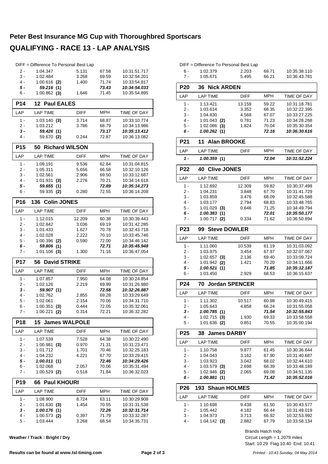#### **Peter Best Insurance MG Cup with Thoroughbred Sportscars QUALIFYING - RACE 13 - LAP ANALYSIS**

| 2 -             |                              | DIFF = Difference To Personal Best Lap |            |                    |
|-----------------|------------------------------|----------------------------------------|------------|--------------------|
|                 | 1:04.347                     | 5.131                                  | 67.58      | 10:31:51.717       |
| $3 -$           | 1:02.484                     | 3.268                                  | 69.59      | 10:32:54.201       |
| $4 -$           | $1:00.616$ (2)               | 1.400                                  | 71.74      | 10:33:54.817       |
| 5 -             | 59.216 (1)                   |                                        | 73.43      | 10:34:54.033       |
| 6 -             | $1:00.862$ (3)               | 1.646                                  | 71.45      | 10:35:54.895       |
| P14             | $12 \,$<br><b>Paul EALES</b> |                                        |            |                    |
| LAP             | <b>LAP TIME</b>              | DIFF                                   | MPH        | TIME OF DAY        |
| 1 -             | $1:03.140$ (3)               | 3.714                                  | 68.87      | 10:33:10.774       |
| 2 -             | 1:03.212                     | 3.786                                  | 68.79      | 10:34:13.986       |
| $3 -$           | 59.426 (1)                   |                                        | 73.17      | 10:35:13.412       |
| 4 -             | 59.670 (2)                   | 0.244                                  | 72.87      | 10:36:13.082       |
| P <sub>15</sub> | <b>Richard WILSON</b><br>50  |                                        |            |                    |
| LAP             | <b>LAP TIME</b>              | <b>DIFF</b>                            | MPH        | <b>TIME OF DAY</b> |
| $1 -$           | 1:09.191                     | 9.536                                  | 62.84      | 10:31:04.815       |
| 2 -             | 1:05.311                     | 5.656                                  | 66.58      | 10:32:10.126       |
| 3 -             | 1:02.561                     | 2.906                                  | 69.50      | 10:33:12.687       |
| $4 -$           | 1:01.931<br>(3)              | 2.276                                  | 70.21      | 10:34:14.618       |
| 5 -             | 59.655 (1)                   |                                        | 72.89      | 10:35:14.273       |
| 6 -             | 59.935 (2)                   | 0.280                                  | 72.55      | 10:36:14.208       |
| P16             | 136<br><b>Colin JONES</b>    |                                        |            |                    |
| LAP             | <b>LAP TIME</b>              | <b>DIFF</b>                            | MPH        | TIME OF DAY        |
| $1 -$           | 1:12.015                     | 12.209                                 | 60.38      | 10:30:39.443       |
| 2 -             | 1:02.842                     | 3.036                                  | 69.19      | 10:31:42.285       |
| 3 -             | 1:01.433                     | 1.627                                  | 70.78      | 10:32:43.718       |
| $4 -$           | 1:02.028                     | 2.222                                  | 70.10      | 10:33:45.746       |
| 5 -             | $1:00.396$ (2)               | 0.590                                  | 72.00      | 10:34:46.142       |
| 6 -             | 59.806 (1)                   |                                        | 72.71      | 10:35:45.948       |
| 7 -             | $1:01.106$ (3)               | 1.300                                  | 71.16      | 10:36:47.054       |
| <b>P17</b>      | <b>David STRIKE</b><br>56    |                                        |            |                    |
|                 |                              |                                        |            |                    |
| LAP             | <b>LAP TIME</b>              | DIFF                                   | MPH        | TIME OF DAY        |
| $1 -$           | 1:07.857                     | 7.950                                  | 64.08      | 10:30:24.854       |
| 2 -             | 1:02.126                     | 2.219                                  | 69.99      | 10:31:26.980       |
| 3 -             | 59.907 (1)                   |                                        | 72.58      | 10:32:26.887       |
| 4 -             | 1:02.762                     | 2.855                                  | 69.28      | 10:33:29.649       |
| 5 -             | 1:02.061                     | 2.154                                  | 70.06      | 10:34:31.710       |
| 6 -             | 1:00.351<br>(3)              | 0.444                                  | 72.05      | 10:35:32.061       |
| 7 -             | $1:00.221$ (2)               | 0.314                                  | 72.21      | 10:36:32.282       |
| P <sub>18</sub> | <b>15 James WALPOLE</b>      |                                        |            |                    |
| LAP             | <b>LAP TIME</b>              | DIFF                                   | MPH        | TIME OF DAY        |
| $1 -$           | 1:07.539                     | 7.528                                  | 64.38      | 10:30:22.490       |
| 2 -             | $1:00.981$ (3)               | 0.970                                  | 71.31      | 10:31:23.471       |
| 3 -             | 1:01.712                     | 1.701                                  | 70.46      | 10:32:25.183       |
| 4 -             | 1:04.232                     | 4.221                                  | 67.70      | 10:33:29.415       |
| 5 -             | 1:00.011(1)                  |                                        | 72.46      | 10:34:29.426       |
| 6 -             | 1:02.068                     | 2.057                                  | 70.06      | 10:35:31.494       |
| 7 -             | $1:00.529$ (2)               | 0.518                                  | 71.84      | 10:36:32.023       |
| <b>P19</b>      | 66 Paul KHOURI               |                                        |            |                    |
| LAP             | <b>LAP TIME</b>              | DIFF                                   | <b>MPH</b> | TIME OF DAY        |
| $1 -$           | 1:08.900                     | 8.724                                  | 63.11      | 10:30:29.908       |
| 2 -             | 1:01.630(3)                  | 1.454                                  | 70.55      | 10:31:31.538       |
| 3 -             | 1:00.176(1)                  |                                        | 72.26      | 10:32:31.714       |
| 4 -             | $1:00.573$ (2)               | 0.397                                  | 71.79      | 10:33:32.287       |
| 5 -             | 1:03.444                     | 3.268                                  | 68.54      | 10:34:35.731       |

**Weather / Track : Bright / Dry**

| DIFF = Difference To Personal Best Lap |                             |             |            |                    |  |  |  |
|----------------------------------------|-----------------------------|-------------|------------|--------------------|--|--|--|
| $6 -$                                  | 1:02.379                    | 2.203       | 69.71      | 10:35:38.110       |  |  |  |
| $7 -$                                  | 1:05.671                    | 5.495       | 66.21      | 10:36:43.781       |  |  |  |
| <b>P20</b>                             | <b>Nick ARDEN</b><br>36     |             |            |                    |  |  |  |
| LAP                                    | <b>LAP TIME</b>             | DIFF        | MPH        | TIME OF DAY        |  |  |  |
| 1 -                                    | 1:13.421                    | 13.159      | 59.22      | 10:31:18.781       |  |  |  |
| $2 -$                                  | 1:03.614                    | 3.352       | 68.35      | 10:32:22.395       |  |  |  |
| $3 -$                                  | 1:04.830                    | 4.568       | 67.07      | 10:33:27.225       |  |  |  |
| $4 -$                                  | $1:01.043$ (2)              | 0.781       | 71.23      | 10:34:28.268       |  |  |  |
| $5 -$                                  | $1:02.086$ (3)              | 1.824       | 70.04      | 10:35:30.354       |  |  |  |
| 6 -                                    | 1:00.262(1)                 |             | 72.16      | 10:36:30.616       |  |  |  |
| P <sub>21</sub>                        | <b>Alan BROOKE</b><br>11    |             |            |                    |  |  |  |
| LAP                                    | <b>LAP TIME</b>             | <b>DIFF</b> | <b>MPH</b> | TIME OF DAY        |  |  |  |
| 1 -                                    | 1:00.359(1)                 |             | 72.04      | 10:31:52.224       |  |  |  |
| <b>P22</b>                             | <b>Clive JONES</b><br>40    |             |            |                    |  |  |  |
| LAP                                    | <b>LAP TIME</b>             | <b>DIFF</b> | <b>MPH</b> | TIME OF DAY        |  |  |  |
| $1 -$                                  | 1:12.692                    | 12.309      | 59.82      | 10:30:37.498       |  |  |  |
| 2 -                                    | 1:04.231                    | 3.848       | 67.70      | 10:31:41.729       |  |  |  |
| 3 -                                    | 1:03.859                    | 3.476       | 68.09      | 10:32:45.588       |  |  |  |
| 4 -                                    | 1:03.177                    | 2.794       | 68.83      | 10:33:48.765       |  |  |  |
| 5 -                                    | $1:01.029$ (3)              | 0.646       | 71.25      | 10:34:49.794       |  |  |  |
| 6 -                                    | 1:00.383(1)                 |             | 72.01      | 10:35:50.177       |  |  |  |
| 7 -                                    | $1:00.717$ (2)              | 0.334       | 71.62      | 10:36:50.894       |  |  |  |
| P23                                    | <b>Steve DOWLER</b><br>99   |             |            |                    |  |  |  |
| LAP                                    | <b>LAP TIME</b>             | DIFF        | MPH        | TIME OF DAY        |  |  |  |
| 1 -                                    | 1:11.060                    | 10.539      | 61.19      | 10:31:03.092       |  |  |  |
| $2 -$                                  | 1:03.975                    | 3.454       | 67.97      | 10:32:07.067       |  |  |  |
| $3 -$                                  | $1:02.657$ (3)              | 2.136       | 69.40      | 10:33:09.724       |  |  |  |
| 4 -                                    | 1:01.942<br>(2)             | 1.421       | 70.20      | 10:34:11.666       |  |  |  |
| 5 -                                    | 1:00.521(1)                 |             | 71.85      | 10:35:12.187       |  |  |  |
| 6 -                                    | 1:03.450                    | 2.929       | 68.53      | 10:36:15.637       |  |  |  |
| P <sub>24</sub>                        | <b>Jordan SPENCER</b><br>70 |             |            |                    |  |  |  |
| LAP                                    | <b>LAP TIME</b>             | DIFF        | MPH        | <b>TIME OF DAY</b> |  |  |  |
| 1 -                                    | 1:11.302                    | 10.517      | 60.98      | 10:30:49.415       |  |  |  |
| 2 -                                    | 1:05.643                    | 4.858       | 66.24      | 10:31:55.058       |  |  |  |
| 3 -                                    | 1:00.785(1)                 |             | 71.54      | 10:32:55.843       |  |  |  |
| 4 -                                    | $1:02.715$ (3)              | 1.930       | 69.33      | 10:33:58.558       |  |  |  |
| 5 -                                    | $1:01.636$ (2)              | 0.851       | 70.55      | 10:35:00.194       |  |  |  |
| P <sub>25</sub>                        | <b>James DARBY</b><br>38    |             |            |                    |  |  |  |
| LAP                                    | <b>LAP TIME</b>             | DIFF        | MPH        | TIME OF DAY        |  |  |  |
| 1 -                                    | 1:10.758                    | 9.877       | 61.45      | 10:30:36.644       |  |  |  |
| $2-$                                   | 1:04.043                    | 3.162       | 67.90      | 10:31:40.687       |  |  |  |
| 3 -                                    | 1:03.923                    | 3.042       | 68.02      | 10:32:44.610       |  |  |  |
| 4 -                                    | $1:03.579$ (3)              | 2.698       | 68.39      | 10:33:48.189       |  |  |  |
| 5 -                                    | 1:02.946<br>(2)             | 2.065       | 69.08      | 10:34:51.135       |  |  |  |
| 6 -                                    | 1:00.881(1)                 |             | 71.42      | 10:35:52.016       |  |  |  |
| P <sub>26</sub>                        | 193 Shaun HOLMES            |             |            |                    |  |  |  |
| LAP                                    | <b>LAP TIME</b>             | <b>DIFF</b> | MPH        | TIME OF DAY        |  |  |  |
| 1 -                                    | 1:10.698                    | 9.438       | 61.50      | 10:30:43.577       |  |  |  |
| $2-$                                   | 1:05.442                    | 4.182       | 66.44      | 10:31:49.019       |  |  |  |
| 3 -                                    | 1:04.973                    | 3.713       | 66.92      | 10:32:53.992       |  |  |  |
| 4 -                                    | $1:04.142$ (3)              | 2.882       | 67.79      | 10:33:58.134       |  |  |  |

Start: 10:29 Flag 10:40 End: 10:41 Circuit Length = 1.2079 miles Brands Hatch Indy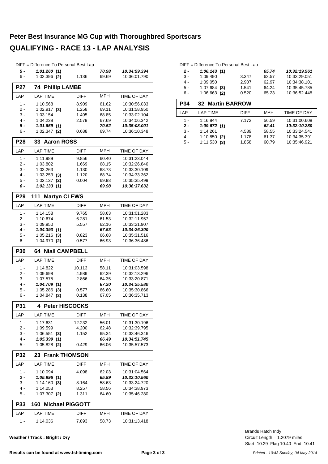#### **Peter Best Insurance MG Cup with Thoroughbred Sportscars QUALIFYING - RACE 13 - LAP ANALYSIS**

#### DIFF = Difference To Personal Best Lap *5 - 1:01.260 10:34:59.394* **(1)** *70.98* 6 - 1:02.396 1.136 10:36:01.790 **(2)** 69.69 **P27 74 Phillip LAMBE** LAP LAP TIME DIFF MPH TIME OF DAY 1 - 1:10.568 8.909 61.62 10:30:56.033 2 - 1:02.917 (3) 1.258 69.11 10:31:58.950 3 - 1:03.154 1.495 10:33:02.104 68.85 4 - 1:04.238 2.579 67.69 10:34:06.342<br>5 - 1:01.659 (1) 70.52 10:35:08.001 *5 - 1:01.659 10:35:08.001* **(1)** *70.52* 6 - 1:02.347 0.688 10:36:10.348 **(2)** 69.74 **P28 33 Aaron ROSS** LAP LAP TIME DIFF MPH TIME OF DAY 1 - 1:11.989 9.856 60.40 10:31:23.044 2 - 1:03.802 1.669 68.15 10:32:26.846 3 - 1:03.263 1.130 10:33:30.109 68.73 4 - 1:03.253 1.120 10:34:33.362 **(3)** 68.74 5 - 1:02.137 0.004 10:35:35.499 **(2)** 69.98 *6 - 1:02.133 10:36:37.632* **(1)** *69.98* **P29 111 Martyn CLEWS** LAP LAP TIME DIFF MPH TIME OF DAY 1 - 1:14.158 9.765 10:31:01.283 58.63 2 - 1:10.674 6.281 6.1.53 10:32:11.957 3 - 1:09.950 5.557 62.16 10:33:21.907 *4 - 1:04.393 10:34:26.300* **(1)** *67.53* 5 - 1:05.216 0.823 10:35:31.516 **(3)** 66.68 6 - 1:04.970 0.577 10:36:36.486 **(2)** 66.93 **P30 64 Niall CAMPBELL** LAP LAP TIME DIFF MPH TIME OF DAY 1 - 1:14.822 10.113 10:31:03.598 58.11 2 - 1:09.698 4.989 10:32:13.296 62.39 3 - 1:07.575 2.866 64.35 10:33:20.871 *4 - 1:04.709 10:34:25.580* **(1)** *67.20* 5 - 1:05.286 0.577 10:35:30.866 **(3)** 66.60 6 - 1:04.847 0.138 10:36:35.713 **(2)** 67.05 **P31 4 Peter HISCOCKS** LAP LAP TIME DIFF MPH TIME OF DAY 1 - 1:17.631 12.232 56.01 10:31:30.196 2 - 1:09.599 4.200 62.48 10:32:39.795 3 - 1:06.551 1.152 10:33:46.346 **(3)** 65.34 *4 - 1:05.399 10:34:51.745* **(1)** *66.49* 5 - 1:05.828 0.429 10:35:57.573 **(2)** 66.06 **P32 23 Frank THOMSON** LAP LAP TIME DIFF MPH TIME OF DAY 1 - 1:10.094 4.098 10:31:04.564 62.03 *2 - 1:05.996 10:32:10.560* **(1)** *65.89* 3 - 1:14.160 8.164 10:33:24.720 **(3)** 58.63 4 - 1:14.253 8.257 10:34:38.973 58.56 5 - 1:07.307 (2) 1.311 64.60 10:35:46.280 **P33 160 Michael PIGGOTT** LAP LAP TIME DIFF MPH TIME OF DAY 1 - 1:14.036 7.893 10:31:13.418 58.73

**Weather / Track : Bright / Dry**

#### DIFF = Difference To Personal Best Lap

| 2 -   | 1:06.143(1)    |       | 65.74 | 10:32:19.561 |
|-------|----------------|-------|-------|--------------|
| $3 -$ | 1:09.490       | 3.347 | 62.57 | 10:33:29.051 |
| 4 -   | 1:09.050       | 2.907 | 62.97 | 10:34:38.101 |
| 5 -   | $1:07.684$ (3) | 1.541 | 64.24 | 10:35:45.785 |
| 6 -   | $1:06.663$ (2) | 0.520 | 65.23 | 10:36:52.448 |

| <b>P34</b> | <b>82 Martin BARROW</b> |             |            |              |
|------------|-------------------------|-------------|------------|--------------|
| I AP       | <b>LAP TIME</b>         | <b>DIFF</b> | <b>MPH</b> | TIME OF DAY  |
| 1 -        | 1:16.844                | 7.172       | 56.59      | 10:31:00.608 |
| $2 -$      | 1:09.672(1)             |             | 62.41      | 10:32:10.280 |
| $3 -$      | 1:14.261                | 4.589       | 58.55      | 10:33:24.541 |
| 4 -        | $1:10.850$ (2)          | 1.178       | 61.37      | 10:34:35.391 |
| 5 -        | 1:11.530<br>(3)         | 1.858       | 60.79      | 10:35:46.921 |

Start: 10:29 Flag 10:40 End: 10:41 Circuit Length = 1.2079 miles Brands Hatch Indy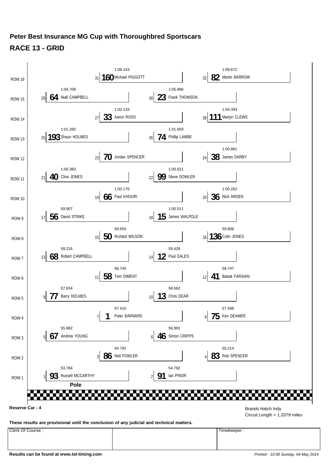

**Results can be found at www.tsl-timing.com** *Printed - 10:58 Sunday, 04 May 2014*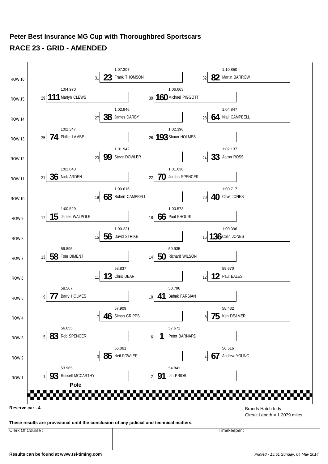### **Peter Best Insurance MG Cup with Thoroughbred Sportscars RACE 23 - GRID - AMENDED**

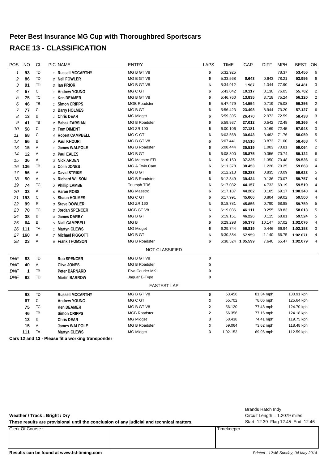| POS          | <b>NO</b> | CL          | PIC NAME                | <b>ENTRY</b>          | <b>LAPS</b> | <b>TIME</b>       | GAP    | <b>DIFF</b> | <b>MPH</b> | BEST       | ON             |
|--------------|-----------|-------------|-------------------------|-----------------------|-------------|-------------------|--------|-------------|------------|------------|----------------|
| $\mathbf{1}$ | 93        | TD          | 1 Russell MCCARTHY      | MG B GT V8            | 6           | 5:32.925          |        |             | 78.37      | 53.456     | 6              |
| 2            | 86        | TD          | 2 Neil FOWLER           | MG B GT V8            | 6           | 5:33.568          | 0.643  | 0.643       | 78.21      | 53.956     | 6              |
| 3            | 91        | TD          | 3 Ian PRIOR             | MG B GT V8            | 6           | 5:34.912          | 1.987  | 1.344       | 77.90      | 54.481     | 3              |
| 4            | 67        | $\mathbb C$ | 1 Andrew YOUNG          | MG C GT               | 6           | 5:43.042          | 10.117 | 8.130       | 76.05      | 55.702     | $\overline{2}$ |
| 5            | 75        | <b>TC</b>   | 1 Ken DEAMER            | MG B GT V8            | 6           | 5:46.760          | 13.835 | 3.718       | 75.24      | 56.120     | $\sqrt{2}$     |
| 6            | 46        | TB          | 1 Simon CRIPPS          | <b>MGB Roadster</b>   | 6           | 5:47.479          | 14.554 | 0.719       | 75.08      | 56.356     | $\overline{2}$ |
| 7            | 77        | C           | 2 Barry HOLMES          | MG B GT               | 6           | 5:56.423          | 23.498 | 8.944       | 73.20      | 57.127     | 6              |
| 8            | 13        | B           | 1 Chris DEAR            | <b>MG Midget</b>      | 6           | 5:59.395          | 26.470 | 2.972       | 72.59      | 58.438     | 3              |
| 9            | 41        | TB          | 2 Babak FARSIAN         | <b>MG B Roadster</b>  | 6           | 5:59.937          | 27.012 | 0.542       | 72.48      | 58.166     | $\overline{4}$ |
| 10           | 58        | $\mathbb C$ | 3 Tom DIMENT            | <b>MG ZR 190</b>      | 6           | 6:00.106          | 27.181 | 0.169       | 72.45      | 57.948     | 3              |
| 11           | 68        | $\mathbb C$ | 4 Robert CAMPBELL       | MG C GT               | 6           | 6:03.568          | 30.643 | 3.462       | 71.76      | 58.059     | 5              |
| 12           | 66        | B           | 2 Paul KHOURI           | MG B GT V8            | 6           | 6:07.441          | 34.516 | 3.873       | 71.00      | 58.468     | 5              |
| 13           | 15        | Α           | 1 James WALPOLE         | <b>MG B Roadster</b>  | 6           | 6:08.444          | 35.519 | 1.003       | 70.81      | 59.064     | $\overline{2}$ |
| 14           | 12        | Α           | 2 Paul EALES            | MG B GT               | 6           | 6:08.800          | 35.875 | 0.356       | 70.74      | 59.122     | 6              |
| 15           | 36        | Α           | 3 Nick ARDEN            | MG Maestro EFI        | 6           | 6:10.150          | 37.225 | 1.350       | 70.48      | 59.536     | 6              |
| 16           | 136       | TB          | 3 Colin JONES           | MG A Twin Cam         | 6           | 6:11.378          | 38.453 | 1.228       | 70.25      | 59.663     | 4              |
| 17           | 56        | Α           | 4 David STRIKE          | MG B GT               | 6           | 6:12.213          | 39.288 | 0.835       | 70.09      | 59.623     | 5              |
| 18           | 50        | Α           | 5 Richard WILSON        | <b>MG B Roadster</b>  | 6           | 6:12.349          | 39.424 | 0.136       | 70.07      | 59.757     | 4              |
| 19           | 74        | TC          | 2 Phillip LAMBE         | Triumph TR6           | 6           | 6:17.082          | 44.157 | 4.733       | 69.19      | 59.519     | $\overline{4}$ |
| 20           | 33        | Α           | 6 Aaron ROSS            | <b>MG Maestro</b>     | 6           | 6:17.187          | 44.262 | 0.105       | 69.17      | 1:00.340   | $\overline{4}$ |
| 21           | 193       | $\mathbb C$ | 5 Shaun HOLMES          | MG C GT               | 6           | 6:17.991          | 45.066 | 0.804       | 69.02      | 59.500     | 4              |
| 22           | 99        | B           | 3 Steve DOWLER          | <b>MG ZR 160</b>      | 6           | 6:18.781          | 45.856 | 0.790       | 68.88      | 59.759     | 5              |
| 23           | 70        | <b>TC</b>   | 3 Jordan SPENCER        | MGB GT V8             | 6           | 6:19.036          | 46.111 | 0.255       | 68.83      | 58.013     | 5              |
| 24           | 38        | B           | 4 James DARBY           | MG B GT               | 6           | 6:19.151          | 46.226 | 0.115       | 68.81      | 59.524     | 5              |
| 25           | 64        | B           | 5 Niall CAMPBELL        | MG <sub>B</sub>       | 6           | 6:29.298          | 56.373 | 10.147      | 67.02      | 1:02.076   | $\overline{4}$ |
| 26           | 111       | TA          | 1 Martyn CLEWS          | <b>MG Midget</b>      | 6           | 6:29.744          | 56.819 | 0.446       | 66.94      | 1:02.153   | 3              |
| 27           | 160       | Α           | 7 Michael PIGGOTT       | <b>MGBGT</b>          | 6           | 6:30.884          | 57.959 | 1.140       | 66.75      | 1:02.071   | 4              |
| 28           | 23        | Α           | 8 Frank THOMSON         | <b>MG B Roadster</b>  | 6           | 6:38.524 1:05.599 |        | 7.640       | 65.47      | 1:02.079   | 4              |
|              |           |             |                         | <b>NOT CLASSIFIED</b> |             |                   |        |             |            |            |                |
| <b>DNF</b>   | 83        | TD          | <b>Rob SPENCER</b>      | MG B GT V8            | $\pmb{0}$   |                   |        |             |            |            |                |
| <b>DNF</b>   | 40        | Α           | <b>Clive JONES</b>      | <b>MG B Roadster</b>  | 0           |                   |        |             |            |            |                |
| <b>DNF</b>   | 1         | TB          | Peter BARNARD           | Elva Courier MK1      | 0           |                   |        |             |            |            |                |
| <b>DNF</b>   | 82        | TD          | <b>Martin BARROW</b>    | Jaguar E-Type         | 0           |                   |        |             |            |            |                |
|              |           |             |                         | <b>FASTEST LAP</b>    |             |                   |        |             |            |            |                |
|              | 93        | TD          | <b>Russell MCCARTHY</b> | MG B GT V8            | 6           | 53.456            |        | 81.34 mph   |            | 130.91 kph |                |
|              | 67        | $\mathbb C$ | <b>Andrew YOUNG</b>     | MG C GT               | $\mathbf 2$ | 55.702            |        | 78.06 mph   |            | 125.64 kph |                |
|              | 75        | TC          | <b>Ken DEAMER</b>       | MG B GT V8            | $\mathbf 2$ | 56.120            |        | 77.48 mph   |            | 124.70 kph |                |
|              | 46        | TB          | <b>Simon CRIPPS</b>     | <b>MGB Roadster</b>   | $\mathbf 2$ | 56.356            |        | 77.16 mph   |            | 124.18 kph |                |
|              | 13        | B           | <b>Chris DEAR</b>       | <b>MG Midget</b>      | 3           | 58.438            |        | 74.41 mph   |            | 119.75 kph |                |
|              | 15        | Α           | James WALPOLE           | <b>MG B Roadster</b>  | $\mathbf 2$ | 59.064            |        | 73.62 mph   |            | 118.48 kph |                |
|              | 111       | TA          | Martyn CLEWS            | <b>MG Midget</b>      | 3           | 1:02.153          |        | 69.96 mph   |            | 112.59 kph |                |
|              |           |             |                         |                       |             |                   |        |             |            |            |                |

**Cars 12 and 13 - Please fit a working transponder**

|                                                                                           |  |             | Brands Hatch Indy                  |
|-------------------------------------------------------------------------------------------|--|-------------|------------------------------------|
| Weather / Track: Bright / Dry                                                             |  |             | Circuit Length $= 1.2079$ miles    |
| These results are provisional until the conclusion of any judicial and technical matters. |  |             | Start: 12:39 Flag 12:45 End: 12:46 |
| Clerk Of Course:                                                                          |  | Timekeeper: |                                    |
|                                                                                           |  |             |                                    |
|                                                                                           |  |             |                                    |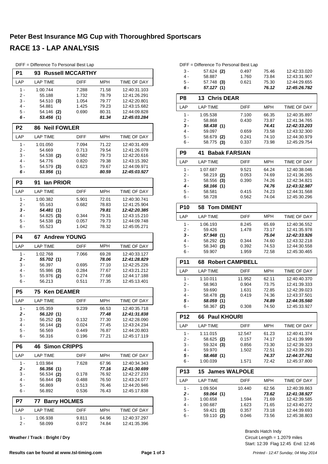| DIFF = Difference To Personal Best Lap |  |  |  |  |  |  |
|----------------------------------------|--|--|--|--|--|--|
|----------------------------------------|--|--|--|--|--|--|

| P1             | <b>Russell MCCARTHY</b><br>93 |                |                |                              |
|----------------|-------------------------------|----------------|----------------|------------------------------|
| LAP            | <b>LAP TIME</b>               | <b>DIFF</b>    | MPH            | TIME OF DAY                  |
| $1 -$          | 1:00.744                      | 7.288          | 71.58          | 12:40:31.103                 |
| 2 -            | 55.188                        | 1.732          | 78.79          | 12:41:26.291                 |
| 3 -<br>4 -     | 54.510 (3)<br>54.881          | 1.054<br>1.425 | 79.77<br>79.23 | 12:42:20.801<br>12:43:15.682 |
| 5 -            | 54.146 (2)                    | 0.690          | 80.31          | 12:44:09.828                 |
| 6 -            | 53.456 (1)                    |                | 81.34          | 12:45:03.284                 |
| P <sub>2</sub> | <b>86 Neil FOWLER</b>         |                |                |                              |
| LAP            | <b>LAP TIME</b>               | <b>DIFF</b>    | <b>MPH</b>     | TIME OF DAY                  |
| $1 -$          | 1:01.050                      | 7.094          | 71.22          | 12:40:31.409                 |
| 2 -            | 54.669                        | 0.713          | 79.54          | 12:41:26.078                 |
| 3 -            | 54.538 (2)                    | 0.582          | 79.73          | 12:42:20.616                 |
| 4 -            | 54.776                        | 0.820          | 79.38          | 12:43:15.392                 |
| 5 -            | 54.579 (3)                    | 0.623          | 79.67          | 12:44:09.971                 |
| 6 -            | 53.956 (1)                    |                | 80.59          | 12:45:03.927                 |
| P3             | lan PRIOR<br>91               |                |                |                              |
| LAP            | <b>LAP TIME</b>               | DIFF           | <b>MPH</b>     | TIME OF DAY                  |
| $1 -$          | 1:00.382                      | 5.901          | 72.01          | 12:40:30.741                 |
| 2 -            | 55.163                        | 0.682          | 78.83          | 12:41:25.904                 |
| 3 -            | 54.481 (1)                    |                | 79.81          | 12:42:20.385                 |
| 4 -            | 54.825 (3)                    | 0.344          | 79.31          | 12:43:15.210                 |
| 5 -            | 54.538 (2)                    | 0.057          | 79.73          | 12:44:09.748                 |
| 6 -            | 55.523                        | 1.042          | 78.32          | 12:45:05.271                 |
| <b>P4</b>      | <b>Andrew YOUNG</b><br>67.    |                |                |                              |
| LAP            | <b>LAP TIME</b>               | DIFF           | MPH            | TIME OF DAY                  |
| $1 -$          | 1:02.768                      | 7.066          | 69.28          | 12:40:33.127                 |
| 2 -            | 55.702 (1)                    |                | 78.06          | 12:41:28.829                 |
| 3 -<br>4 -     | 56.397                        | 0.695          | 77.10          | 12:42:25.226                 |
| 5 -            | 55.986 (3)<br>55.976 (2)      | 0.284<br>0.274 | 77.67<br>77.68 | 12:43:21.212<br>12:44:17.188 |
| 6 -            | 56.213                        | 0.511          | 77.35          | 12:45:13.401                 |
| P <sub>5</sub> | <b>Ken DEAMER</b><br>75       |                |                |                              |
| LAP            | <b>LAP TIME</b>               | <b>DIFF</b>    | <b>MPH</b>     | TIME OF DAY                  |
| 1 -            | 1:05.359                      | 9.239          | 66.53          | 12:40:35.718                 |
| $\mathbf{2}$ - | 56.120 (1)                    |                | 77.48          | 12:41:31.838                 |
| 3 -            | 56.252 (3)                    | 0.132          | 77.30          | 12:42:28.090                 |
| 4 -            | 56.144 (2)                    | 0.024          | 77.45          | 12:43:24.234                 |
| 5 -            | 56.569                        | 0.449          | 76.87          | 12:44:20.803                 |
| 6 -            | 56.316                        | 0.196          | 77.21          | 12:45:17.119                 |
| P6             | <b>Simon CRIPPS</b><br>46     |                |                |                              |
| LAP            | <b>LAP TIME</b>               | <b>DIFF</b>    | MPH            | TIME OF DAY                  |
| 1 -            | 1:03.984                      | 7.628          | 67.96          | 12:40:34.343                 |
| 2 -            | 56.356 (1)                    |                | 77.16          | 12:41:30.699                 |
| $3 -$          | 56.534 (2)                    | 0.178          | 76.92          | 12:42:27.233                 |
| 4 -            | 56.844 (3)                    | 0.488          | 76.50          | 12:43:24.077                 |
| 5 -            | 56.869                        | 0.513          | 76.46          | 12:44:20.946                 |
| 6 -            | 56.892                        | 0.536          | 76.43          | 12:45:17.838                 |
| P7             | <b>Barry HOLMES</b><br>77     |                |                |                              |
| LAP            | <b>LAP TIME</b>               | DIFF           | MPH            | TIME OF DAY                  |
| 1 -            | 1:06.938                      | 9.811          | 64.96          | 12:40:37.297                 |
| 2 -            | 58.099                        | 0.972          | 74.84          | 12:41:35.396                 |

**Weather / Track : Bright / Dry**

| 6 -   | 57.127(1)    |       | 76.12 | 12:45:26.782 |
|-------|--------------|-------|-------|--------------|
| $5 -$ | 57.748 (3)   | 0.621 | 75.30 | 12:44:29.655 |
| 4 -   | 58.887       | 1.760 | 73.84 | 12:43:31.907 |
| $3 -$ | $57.624$ (2) | 0.497 | 75.46 | 12:42:33.020 |

| P8    | 13 Chris DEAR              |                             |                   |              |
|-------|----------------------------|-----------------------------|-------------------|--------------|
| LAP   | <b>LAP TIME</b>            | <b>DIFF</b>                 | <b>MPH</b>        | TIME OF DAY  |
| 1 -   | 1:05.538                   | 7.100                       | 66.35             | 12:40:35.897 |
| $2 -$ | 58.868                     | 0.430                       | 73.87             | 12:41:34.765 |
| $3 -$ | 58.438 (1)                 |                             | 74.41             | 12:42:33.203 |
| 4 -   | 59.097                     | 0.659                       | 73.58             | 12:43:32.300 |
| $5 -$ | 58.679<br>(2)              | 0.241                       | 74.10             | 12:44:30.979 |
| 6 -   | 58.775 (3)                 | 0.337                       | 73.98             | 12:45:29.754 |
| P9    | <b>Babak FARSIAN</b><br>41 |                             |                   |              |
| LAP   | <b>LAP TIME</b>            | <b>DIFF</b>                 | <b>MPH</b>        | TIME OF DAY  |
| . .   | 1.27.27                    | $\sim$ $\sim$ $\sim$ $\sim$ | $\sim$ . $\sim$ . | 10.1000000   |

| 1 -   | 1:07.687   | 9.521 | 64.24 | 12:40:38.046 |
|-------|------------|-------|-------|--------------|
| $2 -$ | 58.219 (2) | 0.053 | 74.69 | 12:41:36.265 |
| $3 -$ | 58.556 (3) | 0.390 | 74.26 | 12:42:34.821 |
| 4 -   | 58.166 (1) |       | 74.76 | 12:43:32.987 |
| $5 -$ | 58.581     | 0.415 | 74.23 | 12:44:31.568 |
| ჩ -   | 58.728     | 0.562 | 74.04 | 12:45:30.296 |

| <b>P10</b> | 58 Tom DIMENT |             |            |                    |
|------------|---------------|-------------|------------|--------------------|
| LAP        | LAP TIME      | <b>DIFF</b> | <b>MPH</b> | <b>TIME OF DAY</b> |
| 1 -        | 1:06.193      | 8.245       | 65.69      | 12:40:36.552       |
| 2 -        | 59.426        | 1.478       | 73.17      | 12:41:35.978       |
| $3 -$      | 57.948 (1)    |             | 75.04      | 12:42:33.926       |
| 4 -        | 58.292 (2)    | 0.344       | 74.60      | 12:43:32.218       |
| $5 -$      | 58.340<br>(3) | 0.392       | 74.53      | 12:44:30.558       |
| 6 -        | 59.907        | 1.959       | 72.58      | 12:45:30.465       |

| <b>P11</b> | <b>68 Robert CAMPBELL</b> |             |            |                    |
|------------|---------------------------|-------------|------------|--------------------|
| I AP       | LAP TIME                  | <b>DIFF</b> | <b>MPH</b> | <b>TIME OF DAY</b> |
| 1 -        | 1:10.011                  | 11.952      | 62.11      | 12:40:40.370       |
| $2 -$      | 58.963                    | 0.904       | 73.75      | 12:41:39.333       |
| $3 -$      | 59.690                    | 1.631       | 72.85      | 12:42:39.023       |
| 4 -        | 58.478 (3)                | 0.419       | 74.36      | 12:43:37.501       |
| 5 -        | 58.059 (1)                |             | 74.89      | 12:44:35.560       |
| 6 -        | 58.367<br>(2)             | 0.308       | 74.50      | 12:45:33.927       |

| <b>P12</b> | 66 Paul KHOURI  |             |            |              |
|------------|-----------------|-------------|------------|--------------|
| I AP       | <b>LAP TIME</b> | <b>DIFF</b> | <b>MPH</b> | TIME OF DAY  |
| 1 -        | 1:11.015        | 12.547      | 61.23      | 12:40:41.374 |
| 2.         | 58.625 (2)      | 0.157       | 74.17      | 12:41:39.999 |
| $3 -$      | $59.324$ (3)    | 0.856       | 73.30      | 12:42:39.323 |
| 4 -        | 59.970          | 1.502       | 72.51      | 12:43:39.293 |
| 5 -        | 58.468 (1)      |             | 74.37      | 12:44:37.761 |
| ჩ -        | 1:00.039        | 1.571       | 72.42      | 12:45:37.800 |

| <b>P13</b>       | 15 James WALPOLE |             |            |              |
|------------------|------------------|-------------|------------|--------------|
| LAP              | <b>LAP TIME</b>  | <b>DIFF</b> | <b>MPH</b> | TIME OF DAY  |
| 1 -              | 1:09.504         | 10.440      | 62.56      | 12:40:39.863 |
| $2 -$            | 59.064 (1)       |             | 73.62      | 12:41:38.927 |
| 3 -              | 1:00.658         | 1.594       | 71.69      | 12:42:39.585 |
| $\overline{4}$ - | 1:00.687         | 1.623       | 71.65      | 12:43:40.272 |
| $5 -$            | 59.421<br>(3)    | 0.357       | 73.18      | 12:44:39.693 |
| 6 -              | 59.110<br>(2)    | 0.046       | 73.56      | 12:45:38.803 |

Start: 12:39 Flag 12:45 End: 12:46 Circuit Length = 1.2079 miles Brands Hatch Indy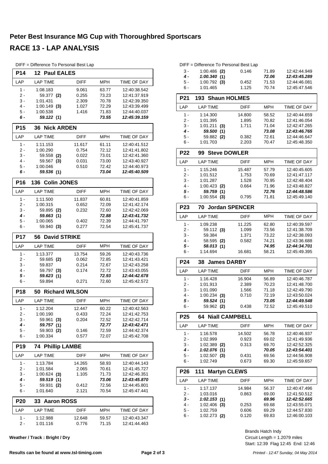| DIFF = Difference To Personal Best Lap |  |  |  |  |
|----------------------------------------|--|--|--|--|
|----------------------------------------|--|--|--|--|

| <b>P14</b>   | <b>12 Paul EALES</b>        |                 |                |                              |
|--------------|-----------------------------|-----------------|----------------|------------------------------|
| LAP          | <b>LAP TIME</b>             | DIFF            | MPH            | TIME OF DAY                  |
| $1 -$        | 1:08.183                    | 9.061           | 63.77          | 12:40:38.542                 |
| $2 -$        | 59.377 (2)                  | 0.255           | 73.23          | 12:41:37.919                 |
| 3 -          | 1:01.431                    | 2.309           | 70.78          | 12:42:39.350                 |
| $4 -$        | $1:00.149$ (3)              | 1.027           | 72.29          | 12:43:39.499                 |
| 5 -<br>6 -   | 1:00.538<br>59.122 (1)      | 1.416           | 71.83<br>73.55 | 12:44:40.037<br>12:45:39.159 |
|              |                             |                 |                |                              |
| <b>P15</b>   | <b>36 Nick ARDEN</b>        |                 |                |                              |
| LAP          | <b>LAP TIME</b>             | <b>DIFF</b>     | <b>MPH</b>     | TIME OF DAY                  |
| $1 -$<br>2 - | 1:11.153<br>1:00.290        | 11.617<br>0.754 | 61.11<br>72.12 | 12:40:41.512<br>12:41:41.802 |
| 3 -          | 59.558 (2)                  | 0.022           | 73.01          | 12:42:41.360                 |
| $4 -$        | 59.567 (3)                  | 0.031           | 73.00          | 12:43:40.927                 |
| 5 -          | 1:00.046                    | 0.510           | 72.42          | 12:44:40.973                 |
| 6 -          | 59.536 (1)                  |                 | 73.04          | 12:45:40.509                 |
| <b>P16</b>   | <b>Colin JONES</b><br>136   |                 |                |                              |
| LAP          | <b>LAP TIME</b>             | DIFF            | <b>MPH</b>     | <b>TIME OF DAY</b>           |
| $1 -$        | 1:11.500                    | 11.837          | 60.81          | 12:40:41.859                 |
| 2 -          | 1:00.315                    | 0.652           | 72.09          | 12:41:42.174                 |
| 3 -          | 59.895 (2)                  | 0.232           | 72.60          | 12:42:42.069                 |
| 4 -          | 59.663 (1)                  |                 | 72.88          | 12:43:41.732                 |
| 5 -          | 1:00.065                    | 0.402           | 72.39          | 12:44:41.797<br>12:45:41.737 |
| 6 -          | 59.940 (3)                  | 0.277           | 72.54          |                              |
| <b>P17</b>   | <b>David STRIKE</b><br>56   |                 |                |                              |
| LAP          | <b>LAP TIME</b>             | DIFF            | MPH            | TIME OF DAY                  |
| $1 -$        | 1:13.377                    | 13.754          | 59.26          | 12:40:43.736                 |
| 2 -<br>3 -   | 59.685 (2)                  | 0.062           | 72.85          | 12:41:43.421                 |
| 4 -          | 59.837<br>59.797 (3)        | 0.214<br>0.174  | 72.67<br>72.72 | 12:42:43.258<br>12:43:43.055 |
| 5 -          | 59.623 (1)                  |                 | 72.93          | 12:44:42.678                 |
| 6 -          | 59.894                      | 0.271           | 72.60          | 12:45:42.572                 |
| <b>P18</b>   | <b>Richard WILSON</b><br>50 |                 |                |                              |
| LAP          | <b>LAP TIME</b>             | <b>DIFF</b>     | <b>MPH</b>     | TIME OF DAY                  |
| $1 -$        | 1:12.204                    | 12.447          | 60.22          | 12:40:42.563                 |
| 2 -          | 1:00.190                    | 0.433           | 72.24          | 12:41:42.753                 |
| 3 -          | 59.961 (3)                  | 0.204           | 72.52          | 12:42:42.714                 |
| 4 -          | 59.757 (1)                  |                 | 72.77          | 12:43:42.471                 |
| $5 -$<br>6 - | 59.903 (2)<br>1:00.334      | 0.146<br>0.577  | 72.59<br>72.07 | 12:44:42.374<br>12:45:42.708 |
| P19          | <b>74 Phillip LAMBE</b>     |                 |                |                              |
| LAP          | <b>LAP TIME</b>             | DIFF            | MPH            | TIME OF DAY                  |
| $1 -$        | 1:13.784                    | 14.265          | 58.93          | 12:40:44.143                 |
| 2 -          | 1:01.584                    | 2.065           | 70.61          | 12:41:45.727                 |
| 3 -          | $1:00.624$ (3)              | 1.105           | 71.73          | 12:42:46.351                 |
| 4 -          | 59.519 (1)                  |                 | 73.06          | 12:43:45.870                 |
| 5 -          | 59.931<br>(2)               | 0.412           | 72.56          | 12:44:45.801                 |
| 6 -          | 1:01.640                    | 2.121           | 70.54          | 12:45:47.441                 |
| P20          | <b>Aaron ROSS</b><br>33     |                 |                |                              |
| LAP          | <b>LAP TIME</b>             | DIFF            | MPH            | TIME OF DAY                  |
| 1 -          | 1:12.988                    | 12.648          | 59.57          | 12:40:43.347                 |
| $2 -$        | 1:01.116                    | 0.776           | 71.15          | 12:41:44.463                 |

**Weather / Track : Bright / Dry**

|       | DIFF = Difference To Personal Best Lap |       |       |              |
|-------|----------------------------------------|-------|-------|--------------|
| $3 -$ | $1:00.486$ (2)                         | 0.146 | 71.89 | 12:42:44.949 |
| 4 -   | 1:00.340(1)                            |       | 72.06 | 12:43:45.289 |
| 5 -   | $1:00.792$ (3)                         | 0.452 | 71.53 | 12:44:46.081 |

| 6 -        | 1:01.465          | 1.125       | 70.74      | 12:45:47.546       |
|------------|-------------------|-------------|------------|--------------------|
| P21        | 193 Shaun HOLMES  |             |            |                    |
| LAP        | <b>LAP TIME</b>   | <b>DIFF</b> | <b>MPH</b> | <b>TIME OF DAY</b> |
| 1 -        | 1:14.300          | 14.800      | 58.52      | 12:40:44.659       |
| $2 -$      | 1:01.395          | 1.895       | 70.82      | 12:41:46.054       |
| $3 -$      | 1:01.211<br>(3)   | 1.711       | 71.04      | 12:42:47.265       |
| $4 -$      | 59.500 (1)        |             | 73.08      | 12:43:46.765       |
| $5 -$      | 59.882 (2)        | 0.382       | 72.61      | 12:44:46.647       |
| $6 -$      | 1:01.703          | 2.203       | 70.47      | 12:45:48.350       |
| <b>P22</b> | 99 Steve DOWLER   |             |            |                    |
| LAP        | <b>LAP TIME</b>   | <b>DIFF</b> | <b>MPH</b> | <b>TIME OF DAY</b> |
| $1 -$      | 1:15.246          | 15.487      | 57.79      | 12:40:45.605       |
| $2 -$      | 1:01.512          | 1.753       | 70.69      | 12:41:47.117       |
| $3 -$      | 1:01.287          | 1.528       | 70.95      | 12:42:48.404       |
| $4 -$      | $1:00.423$ (2)    | 0.664       | 71.96      | 12:43:48.827       |
| 5 -        | 59.759 (1)        |             | 72.76      | 12:44:48.586       |
| $6 -$      | $1:00.554$ (3)    | 0.795       | 71.81      | 12:45:49.140       |
| P23        | 70 Jordan SPENCER |             |            |                    |
| LAP        | <b>LAP TIME</b>   | <b>DIFF</b> | <b>MPH</b> | TIME OF DAY        |
| $1 -$      | 1:09.238          | 11.225      | 62.80      | 12:40:39.597       |
| $2 -$      | 59.112 (3)        | 1.099       | 73.56      | 12:41:38.709       |
| $3 -$      | 59.384            | 1.371       | 73.22      | 12:42:38.093       |
| $4 -$      | 58.595 (2)        | 0.582       | 74.21      | 12:43:36.688       |
| 5 -        | 58.013 (1)        |             | 74.95      | 12:44:34.701       |
| 6 -        | 1:14.694          | 16.681      | 58.21      | 12:45:49.395       |

| 6 -        | 1:14.694        | 16.681      | 58.21      | 12:45:49.395       |
|------------|-----------------|-------------|------------|--------------------|
| <b>P24</b> | 38 James DARBY  |             |            |                    |
| I AP       | <b>LAP TIME</b> | <b>DIFF</b> | <b>MPH</b> | <b>TIME OF DAY</b> |
| 1 -        | 1:16.428        | 16.904      | 56.89      | 12:40:46.787       |
| 2.         | 1:01.913        | 2.389       | 70.23      | 12:41:48.700       |
| $3 -$      | 1:01.090        | 1.566       | 71.18      | 12:42:49.790       |
| 4 -        | 1:00.234<br>(3) | 0.710       | 72.19      | 12:43:50.024       |
| 5 -        | 59.524(1)       |             | 73.05      | 12:44:49.548       |
| 6 -        | 59.962<br>(2)   | 0.438       | 72.52      | 12:45:49.510       |

| P <sub>25</sub> | <b>64 Niall CAMPBELL</b> |             |            |                    |  |  |  |  |  |  |  |  |
|-----------------|--------------------------|-------------|------------|--------------------|--|--|--|--|--|--|--|--|
| LAP             | <b>LAP TIME</b>          | <b>DIFF</b> | <b>MPH</b> | <b>TIME OF DAY</b> |  |  |  |  |  |  |  |  |
| 1 -             | 1:16.578                 | 14.502      | 56.78      | 12:40:46.937       |  |  |  |  |  |  |  |  |
| 2 -             | 1:02.999                 | 0.923       | 69.02      | 12:41:49.936       |  |  |  |  |  |  |  |  |
| 3 -             | $1:02.389$ (2)           | 0.313       | 69.70      | 12:42:52.325       |  |  |  |  |  |  |  |  |
| 4 -             | 1:02.076(1)              |             | 70.05      | 12:43:54.401       |  |  |  |  |  |  |  |  |
| $5 -$           | 1:02.507<br>(3)          | 0.431       | 69.56      | 12:44:56.908       |  |  |  |  |  |  |  |  |
| 6 -             | 1:02.749                 | 0.673       | 69.30      | 12:45:59.657       |  |  |  |  |  |  |  |  |

| P26   | <b>Martyn CLEWS</b><br>111 |             |            |                    |
|-------|----------------------------|-------------|------------|--------------------|
| LAP   | LAP TIME                   | <b>DIFF</b> | <b>MPH</b> | <b>TIME OF DAY</b> |
| 1 -   | 1:17.137                   | 14.984      | 56.37      | 12:40:47.496       |
| 2.    | 1:03.016                   | 0.863       | 69.00      | 12:41:50.512       |
| 3 -   | 1:02.153(1)                |             | 69.96      | 12:42:52.665       |
| 4 -   | $1:02.406$ (3)             | 0.253       | 69.68      | 12:43:55.071       |
| $5 -$ | 1:02.759                   | 0.606       | 69.29      | 12:44:57.830       |
| 6 -   | 1:02.273<br>(2)            | 0.120       | 69.83      | 12:46:00.103       |

Start: 12:39 Flag 12:45 End: 12:46 Circuit Length = 1.2079 miles Brands Hatch Indy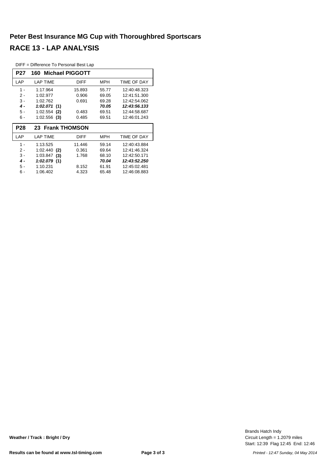DIFF = Difference To Personal Best Lap

| <b>P27</b> | 160<br>Michael PIGGOTT |             |            |              |  |  |  |  |  |  |  |
|------------|------------------------|-------------|------------|--------------|--|--|--|--|--|--|--|
| LAP        | <b>LAP TIME</b>        | <b>DIFF</b> | MPH        | TIME OF DAY  |  |  |  |  |  |  |  |
| 1 -        | 1:17.964               | 15.893      | 55.77      | 12:40:48.323 |  |  |  |  |  |  |  |
| 2 -        | 1:02.977               | 0.906       | 69.05      | 12:41:51.300 |  |  |  |  |  |  |  |
| $3 -$      | 1:02.762               | 0.691       | 69.28      | 12:42:54.062 |  |  |  |  |  |  |  |
| $4 -$      | 1:02.071<br>(1)        |             | 70.05      | 12:43:56.133 |  |  |  |  |  |  |  |
| $5 -$      | 1:02.554<br>(2)        | 0.483       | 69.51      | 12:44:58.687 |  |  |  |  |  |  |  |
| 6 -        | 1:02.556<br>(3)        | 0.485       | 69.51      | 12:46:01.243 |  |  |  |  |  |  |  |
|            | 23 Frank THOMSON       |             |            |              |  |  |  |  |  |  |  |
| <b>P28</b> |                        |             |            |              |  |  |  |  |  |  |  |
| LAP        | <b>LAP TIME</b>        | <b>DIFF</b> | <b>MPH</b> | TIME OF DAY  |  |  |  |  |  |  |  |
| 1 -        | 1:13.525               | 11.446      | 59.14      | 12:40:43.884 |  |  |  |  |  |  |  |
| $2 -$      | 1:02.440<br>(2)        | 0.361       | 69.64      | 12:41:46.324 |  |  |  |  |  |  |  |
| $3 -$      | 1:03.847<br>(3)        | 1.768       | 68.10      | 12:42:50.171 |  |  |  |  |  |  |  |
| 4 -        | 1:02.079<br>(1)        |             | 70.04      | 12:43:52.250 |  |  |  |  |  |  |  |
| 5 -        | 1:10.231               | 8.152       | 61.91      | 12:45:02.481 |  |  |  |  |  |  |  |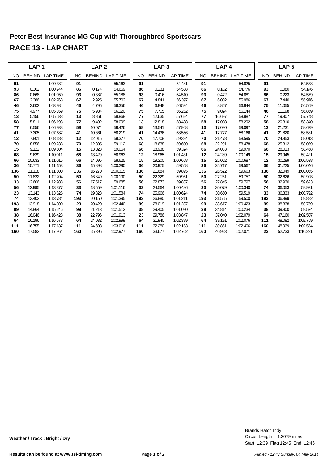|           | LAP <sub>1</sub> |                 |           | LAP <sub>2</sub> |                 |           | LAP <sub>3</sub> |                 |     |           | LAP <sub>4</sub> |                 |           | LAP <sub>5</sub> |                 |
|-----------|------------------|-----------------|-----------|------------------|-----------------|-----------|------------------|-----------------|-----|-----------|------------------|-----------------|-----------|------------------|-----------------|
| <b>NO</b> | <b>BEHIND</b>    | <b>LAP TIME</b> | <b>NO</b> | <b>BEHIND</b>    | <b>LAP TIME</b> | <b>NO</b> | <b>BEHIND</b>    | <b>LAP TIME</b> |     | <b>NO</b> | <b>BEHIND</b>    | <b>LAP TIME</b> | <b>NO</b> | <b>BEHIND</b>    | <b>LAP TIME</b> |
| 91        |                  | 1:00.382        | 91        |                  | 55.163          | 91        |                  | 54.481          |     | 91        |                  | 54.825          | 91        |                  | 54.538          |
| 93        | 0.362            | 1:00.744        | 86        | 0.174            | 54.669          | 86        | 0.231            | 54.538          |     | 86        | 0.182            | 54.776          | 93        | 0.080            | 54.146          |
| 86        | 0.668            | 1:01.050        | 93        | 0.387            | 55.188          | 93        | 0.416            | 54.510          |     | 93        | 0.472            | 54.881          | 86        | 0.223            | 54.579          |
| 67        | 2.386            | 1:02.768        | 67        | 2.925            | 55.702          | 67        | 4.841            | 56.397          |     | 67        | 6.002            | 55.986          | 67        | 7.440            | 55.976          |
| 46        | 3.602            | 1:03.984        | 46        | 4.795            | 56.356          | 46        | 6.848            | 56.534          |     | 46        | 8.867            | 56.844          | 75        | 11.055           | 56.569          |
| 75        | 4.977            | 1:05.359        | 75        | 5.934            | 56.120          | 75        | 7.705            | 56.252          |     | 75        | 9.024            | 56.144          | 46        | 11.198           | 56.869          |
| 13        | 5.156            | 1:05.538        | 13        | 8.861            | 58.868          | 77        | 12.635           | 57.624          |     | 77        | 16.697           | 58.887          | 77        | 19.907           | 57.748          |
| 58        | 5.811            | 1:06.193        | 77        | 9.492            | 58.099          | 13        | 12.818           | 58.438          |     | 58        | 17.008           | 58.292          | 58        | 20.810           | 58.340          |
| 77        | 6.556            | 1:06.938        | 58        | 10.074           | 59.426          | 58        | 13.541           | 57.948          |     | 13        | 17.090           | 59.097          | 13        | 21.231           | 58.679          |
| 41        | 7.305            | 1:07.687        | 41        | 10.361           | 58.219          | 41        | 14.436           | 58.556          |     | 41        | 17.777           | 58.166          | 41        | 21.820           | 58.581          |
| 12        | 7.801            | 1:08.183        | 12        | 12.015           | 59.377          | 70        | 17.708           | 59.384          |     | 70        | 21.478           | 58.595          | 70        | 24.953           | 58.013          |
| 70        | 8.856            | 1:09.238        | 70        | 12.805           | 59.112          | 68        | 18.638           | 59.690          |     | 68        | 22.291           | 58.478          | 68        | 25.812           | 58.059          |
| 15        | 9.122            | 1:09.504        | 15        | 13.023           | 59.064          | 66        | 18.938           | 59.324          |     | 66        | 24.083           | 59.970          | 66        | 28.013           | 58.468          |
| 68        | 9.629            | 1:10.011        | 68        | 13.429           | 58.963          | 12        | 18.965           | 1:01.431        |     | 12        | 24.289           | 1:00.149        | 15        | 29.945           | 59.421          |
| 66        | 10.633           | 1:11.015        | 66        | 14.095           | 58.625          | 15        | 19.200           | 1:00.658        |     | 15        | 25.062           | 1:00.687        | 12        | 30.289           | 1:00.538        |
| 36        | 10.771           | 1:11.153        | 36        | 15.898           | 1:00.290        | 36        | 20.975           | 59.558          |     | 36        | 25.717           | 59.567          | 36        | 31.225           | 1:00.046        |
| 136       | 11.118           | 1:11.500        | 136       | 16.270           | 1:00.315        | 136       | 21.684           | 59.895          | 136 |           | 26.522           | 59.663          | 136       | 32.049           | 1:00.065        |
| 50        | 11.822           | 1:12.204        | 50        | 16.849           | 1:00.190        | 50        | 22.329           | 59.961          |     | 50        | 27.261           | 59.757          | 50        | 32.626           | 59.903          |
| 33        | 12.606           | 1:12.988        | 56        | 17.517           | 59.685          | 56        | 22.873           | 59.837          |     | 56        | 27.845           | 59.797          | 56        | 32.930           | 59.623          |
| 56        | 12.995           | 1:13.377        | 33        | 18.559           | 1:01.116        | 33        | 24.564           | 1:00.486        |     | 33        | 30.079           | 1:00.340        | 74        | 36.053           | 59.931          |
| 23        | 13.143           | 1:13.525        | 74        | 19.823           | 1:01.584        | 74        | 25.966           | 1:00.624        |     | 74        | 30.660           | 59.519          | 33        | 36.333           | 1:00.792        |
| 74        | 13.402           | 1:13.784        | 193       | 20.150           | 1:01.395        | 193       | 26.880           | 1:01.211        | 193 |           | 31.555           | 59.500          | 193       | 36.899           | 59.882          |
| 193       | 13.918           | 1:14.300        | 23        | 20.420           | 1:02.440        | 99        | 28.019           | 1:01.287        |     | 99        | 33.617           | 1:00.423        | 99        | 38.838           | 59.759          |
| 99        | 14.864           | 1:15.246        | 99        | 21.213           | 1:01.512        | 38        | 29.405           | 1:01.090        |     | 38        | 34.814           | 1:00.234        | 38        | 39.800           | 59.524          |
| 38        | 16.046           | 1:16.428        | 38        | 22.796           | 1:01.913        | 23        | 29.786           | 1:03.847        |     | 23        | 37.040           | 1:02.079        | 64        | 47.160           | 1:02.507        |
| 64        | 16.196           | 1:16.578        | 64        | 24.032           | 1:02.999        | 64        | 31.940           | 1:02.389        |     | 64        | 39.191           | 1:02.076        | 111       | 48.082           | 1:02.759        |
| 111       | 16.755           | 1:17.137        | 111       | 24.608           | 1:03.016        | 111       | 32.280           | 1:02.153        | 111 |           | 39.861           | 1:02.406        | 160       | 48.939           | 1:02.554        |
| 160       | 17.582           | 1:17.964        | 160       | 25.396           | 1:02.977        | 160       | 33.677           | 1:02.762        | 160 |           | 40.923           | 1:02.071        | 23        | 52.733           | 1:10.231        |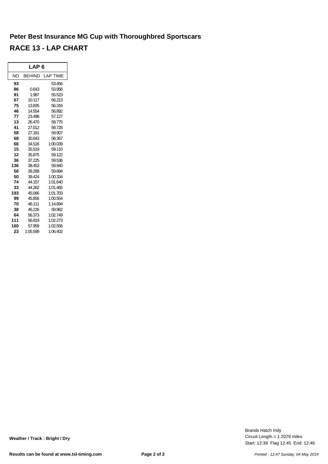|     | LAP 6         |          |
|-----|---------------|----------|
| NΟ  | <b>BEHIND</b> | LAP TIME |
| 93  |               | 53.456   |
| 86  | 0.643         | 53.956   |
| 91  | 1.987         | 55.523   |
| 67  | 10.117        | 56.213   |
| 75  | 13.835        | 56.316   |
| 46  | 14.554        | 56.892   |
| 77  | 23.498        | 57.127   |
| 13  | 26.470        | 58.775   |
| 41  | 27.012        | 58.728   |
| 58  | 27.181        | 59.907   |
| 68  | 30.643        | 58.367   |
| 66  | 34.516        | 1:00.039 |
| 15  | 35.519        | 59.110   |
| 12  | 35.875        | 59.122   |
| 36  | 37.225        | 59.536   |
| 136 | 38.453        | 59.940   |
| 56  | 39.288        | 59.894   |
| 50  | 39.424        | 1:00.334 |
| 74  | 44.157        | 1:01.640 |
| 33  | 44.262        | 1:01.465 |
| 193 | 45.066        | 1:01.703 |
| 99  | 45.856        | 1:00.554 |
| 70  | 46.111        | 1:14.694 |
| 38  | 46.226        | 59.962   |
| 64  | 56.373        | 1:02.749 |
| 111 | 56.819        | 1:02.273 |
| 160 | 57.959        | 1:02.556 |
| 23  | 1:05.599      | 1:06.402 |

Start: 12:39 Flag 12:45 End: 12:46 Circuit Length = 1.2079 miles Brands Hatch Indy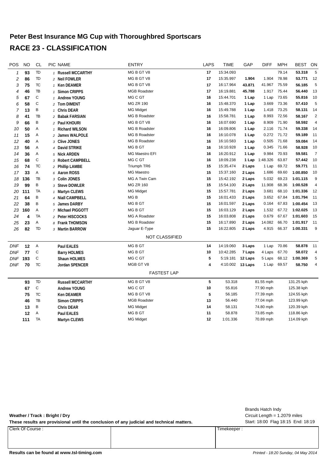| <b>POS</b> | <b>NO</b>               | <b>CL</b>      | PIC NAME                | <b>ENTRY</b>          | <b>LAPS</b>     | <b>TIME</b> | GAP     | <b>DIFF</b> | <b>MPH</b>  | <b>BEST</b> | ON             |
|------------|-------------------------|----------------|-------------------------|-----------------------|-----------------|-------------|---------|-------------|-------------|-------------|----------------|
| 1          | 93                      | TD             | 1 Russell MCCARTHY      | MG B GT V8            | 17              | 15:34.093   |         |             | 79.14       | 53.318      | 5              |
| 2          | 86                      | TD             | 2 Neil FOWLER           | MG B GT V8            | 17              | 15:35.997   | 1.904   | 1.904       | 78.98       | 53.771      | 12             |
| 3          | 75                      | TC             | 1 Ken DEAMER            | MG B GT V8            | 17              | 16:17.964   | 43.871  | 41.967      | 75.59       | 56.185      | 5              |
| 4          | 46                      | TB             | 1 Simon CRIPPS          | <b>MGB Roadster</b>   | 17              | 16:19.881   | 45.788  |             | 1.917 75.44 | 56.440      | 13             |
| 5          | 67                      | C              | 1 Andrew YOUNG          | MG C GT               | 16              | 15:44.701   | 1 Lap   | 1 Lap       | 73.65       | 55.816      | 10             |
| 6          | 58                      | $\mathbb C$    | 2 Tom DIMENT            | <b>MG ZR 190</b>      | 16              | 15:48.370   | 1 Lap   | 3.669       | 73.36       | 57.410      | 5              |
| 7          | 13                      | B              | 1 Chris DEAR            | <b>MG Midget</b>      | 16              | 15:49.788   | 1 Lap   | 1.418       | 73.25       | 58.131      | 14             |
| 8          | 41                      | TB             | 2 Babak FARSIAN         | <b>MG B Roadster</b>  | 16              | 15:58.781   | 1 Lap   | 8.993       | 72.56       | 58.167      | $\overline{2}$ |
| 9          | 66                      | B              | 2 Paul KHOURI           | MG B GT V8            | 16              | 16:07.690   | 1 Lap   | 8.909       | 71.90       | 58.592      | $\overline{4}$ |
| 10         | 50                      | Α              | 1 Richard WILSON        | <b>MG B Roadster</b>  | 16              | 16:09.806   | 1 Lap   | 2.116       | 71.74       | 59.338      | 14             |
| 11         | 15                      | Α              | 2 James WALPOLE         | <b>MG B Roadster</b>  | 16              | 16:10.078   | 1 Lap   | 0.272       | 71.72       | 59.189      | 11             |
| 12         | 40                      | Α              | 3 Clive JONES           | MG B Roadster         | 16              | 16:10.583   | 1 Lap   | 0.505       | 71.68       | 59.084      | 14             |
| 13         | 56                      | Α              | 4 David STRIKE          | MG B GT               | 16              | 16:10.928   | 1 Lap   | 0.345       | 71.66       | 58.928      | 10             |
| 14         | 36                      | Α              | 5 Nick ARDEN            | <b>MG Maestro EFI</b> | 16              | 16:20.912   | 1 Lap   | 9.984       | 70.93       | 59.581      | $\overline{7}$ |
| 15         | 68                      | $\mathsf C$    | 3 Robert CAMPBELL       | MG C GT               | 16              | 18:09.238   | 1 Lap   | 1:48.326    | 63.87       | 57.442      | 10             |
| 16         | 74                      | TC             | 2 Phillip LAMBE         | Triumph TR6           | 15              | 15:35.474   | 2 Laps  | 1 Lap       | 69.72       | 59.771      | 11             |
| 17         | 33                      | Α              | 6 Aaron ROSS            | <b>MG Maestro</b>     | 15              | 15:37.160   | 2 Laps  | 1.686       | 69.60       | 1:00.850    | 10             |
| 18         | 136                     | TB             | 3 Colin JONES           | MG A Twin Cam         | 15:42.192<br>15 |             |         | 5.032       | 69.23       | 1:01.115    | 9              |
| 19         | 99                      | B              | 3 Steve DOWLER          | <b>MG ZR 160</b>      | 15              | 15:54.100   | 2 Laps  | 11.908      | 68.36       | 1:00.528    | $\overline{4}$ |
| 20         | 111                     | TA             | 1 Martyn CLEWS          | <b>MG Midget</b>      | 15              | 15:57.781   | 2 Laps  | 3.681       | 68.10       | 1:01.336    | 12             |
| 21         | 64                      | B              | 4 Niall CAMPBELL        | MG <sub>B</sub>       | 15              | 16:01.433   | 2 Laps  | 3.652       | 67.84       | 1:01.794    | 11             |
| 22         | 38                      | B              | 5 James DARBY           | MG B GT               | 15              | 16:01.597   | 2 Laps  | 0.164       | 67.83       | 1:00.454    | 13             |
| 23         | 160                     | Α              | 7 Michael PIGGOTT       | <b>MGBGT</b>          | 15              | 16:03.129   | 2 Laps  | 1.532       | 67.72       | 1:02.025    | 13             |
| 24         | $\overline{\mathbf{4}}$ | TA             | 2 Peter HISCOCKS        | MG A Roadster         | 15              | 16:03.808   | 2 Laps  | 0.679       | 67.67       | 1:01.603    | 15             |
| 25         | 23                      | Α              | 8 Frank THOMSON         | <b>MG B Roadster</b>  | 15              | 16:17.890   | 2 Laps  | 14.082      | 66.70       | 1:01.917    | 11             |
| 26         | 82                      | TD             | 3 Martin BARROW         | Jaguar E-Type         | 15              | 16:22.805   | 2 Laps  | 4.915       | 66.37       | 1:00.331    | 9              |
|            |                         |                |                         | <b>NOT CLASSIFIED</b> |                 |             |         |             |             |             |                |
| <b>DNF</b> | 12                      | $\overline{A}$ | Paul EALES              | MG B GT               | 14              | 14:19.060   | 3 Laps  | 1 Lap       | 70.86       | 58.878      | 11             |
| <b>DNF</b> | 77                      | C              | <b>Barry HOLMES</b>     | MG B GT               | 10              | 10:42.285   | 7 Laps  | 4 Laps      | 67.70       | 58.072      | 4              |
| <b>DNF</b> | 193                     | $\mathbb C$    | <b>Shaun HOLMES</b>     | MG C GT               | 5               | 5:19.181    | 12 Laps | 5 Laps      | 68.12       | 1:00.369    | 5              |
| <b>DNF</b> | 70                      | TC             | Jordan SPENCER          | MGB GT V8             | 4               | 4:10.002    | 13 Laps | 1 Lap       | 69.57       | 58.750      | 4              |
|            |                         |                |                         | <b>FASTEST LAP</b>    |                 |             |         |             |             |             |                |
|            | 93                      | TD             | <b>Russell MCCARTHY</b> | MG B GT V8            | 5               | 53.318      |         | 81.55 mph   |             | 131.25 kph  |                |
|            | 67                      | $\mathsf C$    | <b>Andrew YOUNG</b>     | MG C GT               | 10              | 55.816      |         | 77.90 mph   |             | 125.38 kph  |                |
|            | 75                      | TC             | <b>Ken DEAMER</b>       | MG B GT V8            | 5               | 56.185      |         | 77.39 mph   |             | 124.55 kph  |                |
|            | 46                      | TB             | <b>Simon CRIPPS</b>     | <b>MGB Roadster</b>   | 13              | 56.440      |         | 77.04 mph   |             | 123.99 kph  |                |
|            | 13                      | B              | Chris DEAR              | <b>MG Midget</b>      | 14              | 58.131      |         | 74.80 mph   |             | 120.39 kph  |                |
|            | 12                      | Α              | Paul EALES              | MG B GT               | 11              | 58.878      |         | 73.85 mph   |             | 118.86 kph  |                |
|            | 111                     | <b>TA</b>      | <b>Martyn CLEWS</b>     | <b>MG Midget</b>      | 12              | 1:01.336    |         | 70.89 mph   |             | 114.09 kph  |                |

| Weather / Track: Bright / Dry<br>These results are provisional until the conclusion of any judicial and technical matters. |             | Brands Hatch Indy<br>Circuit Length $= 1.2079$ miles<br>Start: 18:00 Flag 18:15 End: 18:19 |
|----------------------------------------------------------------------------------------------------------------------------|-------------|--------------------------------------------------------------------------------------------|
| Clerk Of Course:                                                                                                           | Timekeeper: |                                                                                            |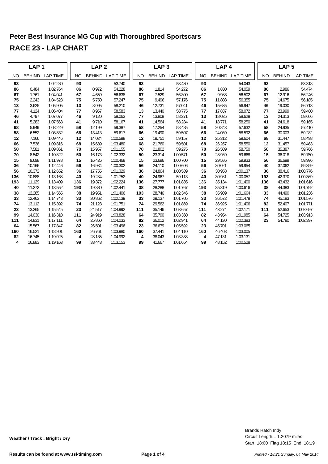|           | LAP <sub>1</sub> |                 |           | LAP <sub>2</sub> |                 |           | LAP <sub>3</sub> |                 |           | LAP <sub>4</sub> |                 |           | LAP <sub>5</sub> |                 |  |
|-----------|------------------|-----------------|-----------|------------------|-----------------|-----------|------------------|-----------------|-----------|------------------|-----------------|-----------|------------------|-----------------|--|
| <b>NO</b> | <b>BEHIND</b>    | <b>LAP TIME</b> | <b>NO</b> |                  | BEHIND LAP TIME | <b>NO</b> | <b>BEHIND</b>    | <b>LAP TIME</b> | <b>NO</b> | <b>BEHIND</b>    | <b>LAP TIME</b> | <b>NO</b> | <b>BEHIND</b>    | <b>LAP TIME</b> |  |
| 93        |                  | 1:02.280        | 93        |                  | 53.740          | 93        |                  | 53.430          | 93        |                  | 54.043          | 93        |                  | 53.318          |  |
| 86        | 0.484            | 1:02.764        | 86        | 0.972            | 54.228          | 86        | 1.814            | 54.272          | 86        | 1.830            | 54.059          | 86        | 2.986            | 54.474          |  |
| 67        | 1.761            | 1:04.041        | 67        | 4.659            | 56.638          | 67        | 7.529            | 56.300          | 67        | 9.988            | 56.502          | 67        | 12.916           | 56.246          |  |
| 75        | 2.243            | 1:04.523        | 75        | 5.750            | 57.247          | 75        | 9.496            | 57.176          | 75        | 11.808           | 56.355          | 75        | 14.675           | 56.185          |  |
| 13        | 3.625            | 1:05.905        | 13        | 8.095            | 58.210          | 46        | 12.731           | 57.041          | 46        | 15.635           | 56.947          | 46        | 19.030           | 56.713          |  |
| 77        | 4.124            | 1:06.404        | 77        | 8.967            | 58.583          | 13        | 13.440           | 58.775          | 77        | 17.837           | 58.072          | 77        | 23.999           | 59.480          |  |
| 46        | 4.797            | 1:07.077        | 46        | 9.120            | 58.063          | 77        | 13.808           | 58.271          | 13        | 18.025           | 58.628          | 13        | 24.313           | 59.606          |  |
| 41        | 5.283            | 1:07.563        | 41        | 9.710            | 58.167          | 41        | 14.564           | 58.284          | 41        | 18.771           | 58.250          | 41        | 24.618           | 59.165          |  |
| 68        | 5.949            | 1:08.229        | 58        | 12.199           | 59.387          | 58        | 17.254           | 58.485          | 58        | 20.843           | 57.632          | 58        | 24.935           | 57.410          |  |
| 58        | 6.552            | 1:08.832        | 66        | 13.413           | 59.617          | 66        | 19.490           | 59.507          | 66        | 24.039           | 58.592          | 66        | 30.003           | 59.282          |  |
| 12        | 7.166            | 1:09.446        | 12        | 14.024           | 1:00.598        | 12        | 19.751           | 59.157          | 12        | 25.312           | 59.604          | 68        | 31.447           | 58.498          |  |
| 66        | 7.536            | 1:09.816        | 68        | 15.689           | 1:03.480        | 68        | 21.760           | 59.501          | 68        | 26.267           | 58.550          | 12        | 31.457           | 59.463          |  |
| 50        | 7.581            | 1:09.861        | 70        | 15.957           | 1:01.155        | 70        | 21.802           | 59.275          | 70        | 26.509           | 58.750          | 50        | 35.387           | 59.766          |  |
| 70        | 8.542            | 1:10.822        | 50        | 16.173           | 1:02.332        | 50        | 23.314           | 1:00.571        | 50        | 28.939           | 59.668          | 15        | 36.018           | 59.750          |  |
| 15        | 9.698            | 1:11.978        | 15        | 16.426           | 1:00.468        | 15        | 23.696           | 1:00.700        | 15        | 29.586           | 59.933          | 56        | 36.699           | 59.996          |  |
| 36        | 10.166           | 1:12.446        | 56        | 16.934           | 1:00.302        | 56        | 24.110           | 1:00.606        | 56        | 30.021           | 59.954          | 40        | 37.062           | 59.399          |  |
| 56        | 10.372           | 1:12.652        | 36        | 17.755           | 1:01.329        | 36        | 24.864           | 1:00.539        | 36        | 30.958           | 1:00.137        | 36        | 38.416           | 1:00.776        |  |
| 136       | 10.888           | 1:13.168        | 40        | 19.284           | 1:01.752        | 40        | 24.967           | 59.113          | 40        | 30.981           | 1:00.057        | 193       | 42.370           | 1:00.369        |  |
| 193       | 11.129           | 1:13.409        | 136       | 19.372           | 1:02.224        | 136       | 27.777           | 1:01.835        | 136       | 35.134           | 1:01.400        | 136       | 43.432           | 1:01.616        |  |
| 40        | 11.272           | 1:13.552        | 193       | 19.830           | 1:02.441        | 38        | 28.288           | 1:01.767        | 193       | 35.319           | 1:00.616        | 38        | 44.383           | 1:01.792        |  |
| 38        | 12.285           | 1:14.565        | 38        | 19.951           | 1:01.406        | 193       | 28.746           | 1:02.346        | 38        | 35.909           | 1:01.664        | 33        | 44.490           | 1:01.236        |  |
| 33        | 12.463           | 1:14.743        | 33        | 20.862           | 1:02.139        | 33        | 29.137           | 1:01.705        | 33        | 36.572           | 1:01.478        | 74        | 45.183           | 1:01.576        |  |
| 74        | 13.112           | 1:15.392        | 74        | 21.123           | 1:01.751        | 74        | 29.562           | 1:01.869        | 74        | 36.925           | 1:01.406        | 82        | 52.407           | 1:01.771        |  |
| 23        | 13.265           | 1:15.545        | 23        | 24.517           | 1:04.992        | 111       | 35.146           | 1:03.657        | 111       | 43.274           | 1:02.171        | 111       | 52.653           | 1:02.697        |  |
| 99        | 14.030           | 1:16.310        | 111       | 24.919           | 1:03.828        | 64        | 35.790           | 1:03.360        | 82        | 43.954           | 1:01.985        | 64        | 54.725           | 1:03.913        |  |
| 111       | 14.831           | 1:17.111        | 64        | 25.860           | 1:04.033        | 82        | 36.012           | 1:02.941        | 64        | 44.130           | 1:02.383        | 23        | 54.780           | 1:02.397        |  |
| 64        | 15.567           | 1:17.847        | 82        | 26.501           | 1:03.496        | 23        | 36.679           | 1:05.592        | 23        | 45.701           | 1:03.065        |           |                  |                 |  |
| 160       | 16.521           | 1:18.801        | 160       | 26.761           | 1:03.980        | 160       | 37.441           | 1:04.110        | 160       | 46.403           | 1:03.005        |           |                  |                 |  |
| 82        | 16.745           | 1:19.025        |           | 4<br>28.135      | 1:04.992        | 4         | 38.043           | 1:03.338        | 4         | 47.131           | 1:03.131        |           |                  |                 |  |
| 4         | 16.883           | 1:19.163        | 99        | 33.443           | 1:13.153        | 99        | 41.667           | 1:01.654        | 99        | 48.152           | 1:00.528        |           |                  |                 |  |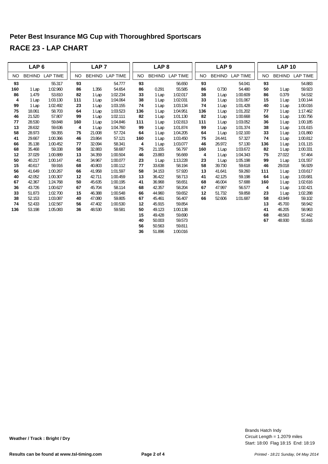|           | LAP <sub>6</sub> |                 |     | LAP <sub>7</sub> |                 |           | LAP <sub>8</sub> |                 |           | LAP <sub>9</sub> |                 |     | <b>LAP 10</b> |                 |  |
|-----------|------------------|-----------------|-----|------------------|-----------------|-----------|------------------|-----------------|-----------|------------------|-----------------|-----|---------------|-----------------|--|
| <b>NO</b> | <b>BEHIND</b>    | <b>LAP TIME</b> | NO. | <b>BEHIND</b>    | <b>LAP TIME</b> | <b>NO</b> | <b>BEHIND</b>    | <b>LAP TIME</b> | <b>NO</b> | <b>BEHIND</b>    | <b>LAP TIME</b> | NO. | <b>BEHIND</b> | <b>LAP TIME</b> |  |
| 93        |                  | 55.317          | 93  |                  | 54.777          | 93        |                  | 56.650          | 93        |                  | 54.041          | 93  |               | 54.883          |  |
| 160       | 1 Lap            | 1:02.960        | 86  | 1.356            | 54.654          | 86        | 0.291            | 55.585          | 86        | 0.730            | 54.480          | 50  | 1 Lap         | 59.923          |  |
| 86        | 1.479            | 53.810          | 82  | 1 Lap            | 1:02.234        | 33        | 1 Lap            | 1:02.017        | 38        | 1 Lap            | 1:00.609        | 86  | 0.379         | 54.532          |  |
| 4         | 1 Lap            | 1:03.130        | 111 | 1 Lap            | 1:04.064        | 38        | 1 Lap            | 1:02.031        | 33        | 1 Lap            | 1:01.067        | 15  | 1 Lap         | 1:00.144        |  |
| 99        | 1 Lap            | 1:02.492        | 23  | 1 Lap            | 1:03.155        | 74        | 1 Lap            | 1:03.134        | 74        | 1 Lap            | 1:01.428        | 40  | 1 Lap         | 1:00.016        |  |
| 75        | 18.061           | 58.703          | 64  | 1 Lap            | 1:03.523        | 136       | 1 Lap            | 1:04.951        | 136       | 1 Lap            | 1:01.202        | 77  | 1 Lap         | 1:17.462        |  |
| 46        | 21.520           | 57.807          | 99  | 1 Lap            | 1:02.111        | 82        | 1 Lap            | 1:01.130        | 82        | 1 Lap            | 1:00.668        | 56  | 1 Lap         | 1:00.756        |  |
| 77        | 28.530           | 59.848          | 160 | 1 Lap            | 1:04.846        | 111       | 1 Lap            | 1:02.813        | 111       | 1 Lap            | 1:03.052        | 36  | 1 Lap         | 1:00.185        |  |
| 13        | 28.632           | 59.636          | 4   | 1 Lap            | 1:04.760        | 99        | 1 Lap            | 1:01.874        | 99        | 1 Lap            | 1:01.374        | 38  | 1 Lap         | 1:01.615        |  |
| 58        | 28.973           | 59.355          | 75  | 21.008           | 57.724          | 64        | 1 Lap            | 1:04.205        | 64        | 1 Lap            | 1:02.100        | 33  | 1 Lap         | 1:01.860        |  |
| 41        | 29.667           | 1:00.366        | 46  | 23.864           | 57.121          | 160       | 1 Lap            | 1:03.450        | 75        | 24.441           | 57.327          | 74  | 1 Lap         | 1:00.812        |  |
| 66        | 35.138           | 1:00.452        | 77  | 32.094           | 58.341          | 4         | 1 Lap            | 1:03.077        | 46        | 26.972           | 57.130          | 136 | 1 Lap         | 1:01.115        |  |
| 68        | 35.468           | 59.338          | 58  | 32.883           | 58.687          | 75        | 21.155           | 56.797          | 160       | 1 Lap            | 1:03.672        | 82  | 1 Lap         | 1:00.331        |  |
| 12        | 37.029           | 1:00.889        | 13  | 34.359           | 1:00.504        | 46        | 23.883           | 56.669          |           | 4<br>1 Lap       | 1:04.343        | 75  | 27.022        | 57.464          |  |
| 50        | 40.217           | 1:00.147        | 41  | 34.967           | 1:00.077        | 23        | 1 Lap            | 1:13.228        | 23        | 1 Lap            | 1:05.198        | 99  | 1 Lap         | 1:01.557        |  |
| 15        | 40.617           | 59.916          | 68  | 40.803           | 1:00.112        | 77        | 33.638           | 58.194          | 58        | 39.730           | 59.618          | 46  | 29.018        | 56.929          |  |
| 56        | 41.649           | 1:00.267        | 66  | 41.958           | 1:01.597        | 58        | 34.153           | 57.920          | 13        | 41.641           | 59.260          | 111 | 1 Lap         | 1:03.617        |  |
| 40        | 42.052           | 1:00.307        | 12  | 42.711           | 1:00.459        | 13        | 36.422           | 58.713          | 41        | 42.125           | 59.198          | 64  | 1 Lap         | 1:03.681        |  |
| 67        | 42.367           | 1:24.768        | 50  | 45.635           | 1:00.195        | 41        | 36.968           | 58.651          | 68        | 46.004           | 57.688          | 160 | 1 Lap         | 1:02.616        |  |
| 36        | 43.726           | 1:00.627        | 67  | 45.704           | 58.114          | 68        | 42.357           | 58.204          | 67        | 47.997           | 56.577          | 4   | 1 Lap         | 1:02.421        |  |
| 33        | 51.873           | 1:02.700        | 15  | 46.388           | 1:00.548        | 66        | 44.960           | 59.652          | 12        | 51.732           | 59.858          | 23  | 1 Lap         | 1:02.288        |  |
| 38        | 52.153           | 1:03.087        | 40  | 47.080           | 59.805          | 67        | 45.461           | 56.407          | 66        | 52.606           | 1:01.687        | 58  | 43.949        | 59.102          |  |
| 74        | 52.433           | 1:02.567        | 56  | 47.402           | 1:00.530        | 12        | 45.915           | 59.854          |           |                  |                 | 13  | 45.700        | 58.942          |  |
| 136       | 53.198           | 1:05.083        | 36  | 48.530           | 59.581          | 50        | 49.123           | 1:00.138        |           |                  |                 | 41  | 46.205        | 58.963          |  |
|           |                  |                 |     |                  |                 | 15        | 49.428           | 59.690          |           |                  |                 | 68  | 48.563        | 57.442          |  |
|           |                  |                 |     |                  |                 | 40        | 50.003           | 59.573          |           |                  |                 | 67  | 48.930        | 55.816          |  |
|           |                  |                 |     |                  |                 | 56        | 50.563           | 59.811          |           |                  |                 |     |               |                 |  |
|           |                  |                 |     |                  |                 | 36        | 51.896           | 1:00.016        |           |                  |                 |     |               |                 |  |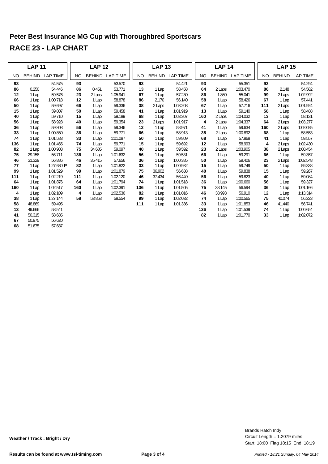|     | <b>LAP 11</b> |                         |           | <b>LAP 12</b> |                 |           | <b>LAP 13</b> |                 |           | <b>LAP 14</b> |                 |     |   | <b>LAP 15</b> |                 |
|-----|---------------|-------------------------|-----------|---------------|-----------------|-----------|---------------|-----------------|-----------|---------------|-----------------|-----|---|---------------|-----------------|
| NO  | <b>BEHIND</b> | <b>LAP TIME</b>         | <b>NO</b> |               | BEHIND LAP TIME | <b>NO</b> | <b>BEHIND</b> | <b>LAP TIME</b> | <b>NO</b> | <b>BEHIND</b> | <b>LAP TIME</b> | NO  |   | <b>BEHIND</b> | <b>LAP TIME</b> |
| 93  |               | 54.575                  | 93        |               | 53.570          | 93        |               | 54.421          | 93        |               | 55.351          | 93  |   |               | 54.294          |
| 86  | 0.250         | 54.446                  | 86        | 0.451         | 53.771          | 13        | 1 Lap         | 58.458          | 64        | 2 Laps        | 1:03.470        | 86  |   | 2.148         | 54.582          |
| 12  | 1 Lap         | 59.576                  | 23        | 2 Laps        | 1:05.941        | 67        | 1 Lap         | 57.230          | 86        | 1.860         | 55.041          | 99  |   | 2 Laps        | 1:02.992        |
| 66  | 1 Lap         | 1:00.718                | 12        | 1 Lap         | 58.878          | 86        | 2.170         | 56.140          | 58        | 1 Lap         | 58.426          | 67  |   | 1 Lap         | 57.441          |
| 50  | 1 Lap         | 59.697                  | 66        | 1 Lap         | 59.336          | 38        | 2 Laps        | 1:03.208        | 67        | 1 Lap         | 57.716          | 111 |   | 2 Laps        | 1:01.924        |
| 15  | 1 Lap         | 59.807                  | 50        | 1 Lap         | 59.458          | 41        | 1 Lap         | 1:01.919        | 13        | 1 Lap         | 59.140          | 58  |   | 1 Lap         | 58.488          |
| 40  | 1 Lap         | 59.710                  | 15        | 1 Lap         | 59.189          | 68        | 1 Lap         | 1:03.307        | 160       | 2 Laps        | 1:04.032        | 13  |   | 1 Lap         | 58.131          |
| 56  | 1 Lap         | 58.928                  | 40        | 1 Lap         | 59.354          | 23        | 2 Laps        | 1:01.917        | 4         | 2 Laps        | 1:04.337        | 64  |   | 2 Laps        | 1:03.277        |
| 36  | 1 Lap         | 59.808                  | 56        | 1 Lap         | 59.346          | 12        | 1 Lap         | 58.971          | 41        | 1 Lap         | 59.634          | 160 |   | 2 Laps        | 1:02.025        |
| 33  | 1 Lap         | 1:00.850                | 36        | 1 Lap         | 59.771          | 66        | 1 Lap         | 58.913          | 38        | 2 Laps        | 1:00.892        | 68  |   | 1 Lap         | 58.553          |
| 74  | 1 Lap         | 1:01.583                | 33        | 1 Lap         | 1:01.087        | 50        | 1 Lap         | 59.809          | 68        | 1 Lap         | 57.868          | 41  |   | 1 Lap         | 59.557          |
| 136 | 1 Lap         | 1:01.465                | 74        | 1 Lap         | 59.771          | 15        | 1 Lap         | 59.692          | 12        | 1 Lap         | 58.993          |     | 4 | 2 Laps        | 1:02.430        |
| 82  | 1 Lap         | 1:00.903                | 75        | 34.685        | 59.097          | 40        | 1 Lap         | 59.592          | 23        | 2 Laps        | 1:03.905        | 38  |   | 2 Laps        | 1:00.454        |
| 75  | 29.158        | 56.711                  | 136       | 1 Lap         | 1:01.632        | 56        | 1 Lap         | 59.531          | 66        | 1 Lap         | 59.291          | 66  |   | 1 Lap         | 59.357          |
| 46  | 31.329        | 56.886                  | 46        | 35.415        | 57.656          | 36        | 1 Lap         | 1:00.385        | 50        | 1 Lap         | 59.406          | 23  |   | 2 Laps        | 1:02.548        |
| 77  | 1 Lap         | 1:27.630 $\blacksquare$ | 82        | 1 Lap         | 1:01.822        | 33        | 1 Lap         | 1:00.932        | 15        | 1 Lap         | 59.749          | 50  |   | 1 Lap         | 59.338          |
| 99  | 1 Lap         | 1:01.529                | 99        | 1 Lap         | 1:01.879        | 75        | 36.902        | 56.638          | 40        | 1 Lap         | 59.838          | 15  |   | 1 Lap         | 59.267          |
| 111 | 1 Lap         | 1:02.219                | 111       | 1 Lap         | 1:02.120        | 46        | 37.434        | 56.440          | 56        | 1 Lap         | 59.823          | 40  |   | 1 Lap         | 59.084          |
| 64  | 1 Lap         | 1:01.876                | 64        | 1 Lap         | 1:01.794        | 74        | 1 Lap         | 1:01.518        | 36        | 1 Lap         | 1:00.660        | 56  |   | 1 Lap         | 59.327          |
| 160 | 1 Lap         | 1:02.517                | 160       | 1 Lap         | 1:02.391        | 136       | 1 Lap         | 1:01.505        | 75        | 38.145        | 56.594          | 36  |   | 1 Lap         | 1:01.166        |
| 4   | 1 Lap         | 1:02.109                | 4         | 1 Lap         | 1:02.536        | 82        | 1 Lap         | 1:01.016        | 46        | 38.993        | 56.910          | 12  |   | 1 Lap         | 1:13.314        |
| 38  | 1 Lap         | 1:27.144                | 58        | 53.853        | 58.554          | 99        | 1 Lap         | 1:02.032        | 74        | 1 Lap         | 1:00.565        | 75  |   | 40.074        | 56.223          |
| 58  | 48.869        | 59.495                  |           |               |                 | 111       | 1 Lap         | 1:01.336        | 33        | 1 Lap         | 1:01.853        | 46  |   | 41.440        | 56.741          |
| 13  | 49.666        | 58.541                  |           |               |                 |           |               |                 | 136       | 1 Lap         | 1:01.539        | 74  |   | 1 Lap         | 1:00.654        |
| 41  | 50.315        | 58.685                  |           |               |                 |           |               |                 | 82        | 1 Lap         | 1:01.770        | 33  |   | 1 Lap         | 1:02.072        |
| 67  | 50.975        | 56.620                  |           |               |                 |           |               |                 |           |               |                 |     |   |               |                 |
| 68  | 51.675        | 57.687                  |           |               |                 |           |               |                 |           |               |                 |     |   |               |                 |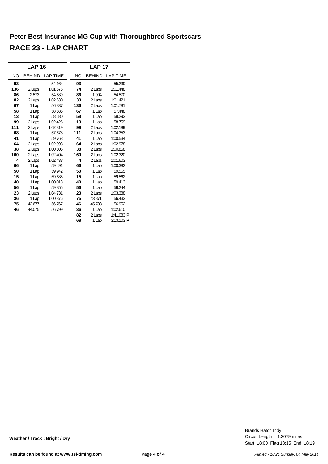|     | <b>LAP 16</b> |                 |     |           | <b>LAP 17</b> |                         |
|-----|---------------|-----------------|-----|-----------|---------------|-------------------------|
| NO  | <b>BEHIND</b> | <b>LAP TIME</b> |     | <b>NO</b> | <b>BEHIND</b> | <b>LAP TIME</b>         |
| 93  |               | 54.164          |     | 93        |               | 55.239                  |
| 136 | 2 Laps        | 1:01.676        |     | 74        | 2 Laps        | 1:01.448                |
| 86  | 2.573         | 54.589          |     | 86        | 1.904         | 54.570                  |
| 82  | 2 Laps        | 1:02.630        |     | 33        | 2 Laps        | 1:01.421                |
| 67  | 1 Lap         | 56.837          | 136 |           | 2 Laps        | 1:01.781                |
| 58  | 1 Lap         | 58.686          |     | 67        | 1 Lap         | 57.448                  |
| 13  | 1 Lap         | 58.580          |     | 58        | 1 Lap         | 58.293                  |
| 99  | 2 Laps        | 1:02.426        |     | 13        | 1 Lap         | 58.759                  |
| 111 | 2 Laps        | 1:02.819        |     | 99        | 2 Laps        | 1:02.189                |
| 68  | 1 Lap         | 57.678          | 111 |           | 2 Laps        | 1:04.353                |
| 41  | 1 Lap         | 59.768          |     | 41        | 1 Lap         | 1:00.534                |
| 64  | 2 Laps        | 1:02.993        |     | 64        | 2 Laps        | 1:02.978                |
| 38  | 2 Laps        | 1:00.505        |     | 38        | 2 Laps        | 1:00.858                |
| 160 | 2 Laps        | 1:02.404        | 160 |           | 2 Laps        | 1:02.320                |
| 4   | 2 Laps        | 1:02.438        |     | 4         | 2 Laps        | 1:01.603                |
| 66  | 1 Lap         | 59.491          |     | 66        | 1 Lap         | 1:00.382                |
| 50  | 1 Lap         | 59.942          |     | 50        | 1 Lap         | 59.555                  |
| 15  | 1 Lap         | 59.685          |     | 15        | 1 Lap         | 59.562                  |
| 40  | 1 Lap         | 1:00.018        |     | 40        | 1 Lap         | 59.413                  |
| 56  | 1 Lap         | 59.855          |     | 56        | 1 Lap         | 59.244                  |
| 23  | 2 Laps        | 1:04.731        |     | 23        | 2 Laps        | 1:03.388                |
| 36  | 1 Lap         | 1:00.876        |     | 75        | 43.871        | 56.433                  |
| 75  | 42.677        | 56.767          |     | 46        | 45.788        | 56.952                  |
| 46  | 44.075        | 56.799          |     | 36        | 1 Lap         | 1:02.610                |
|     |               |                 |     | 82        | 2 Laps        | 1:41.083 $\blacksquare$ |
|     |               |                 |     | 68        | 1 Lap         | $3:13.103$ P            |

Start: 18:00 Flag 18:15 End: 18:19 Circuit Length = 1.2079 miles Brands Hatch Indy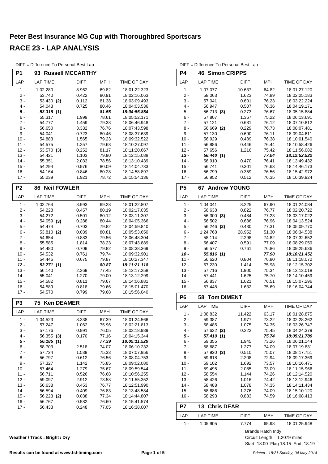|                  | DIFF = Difference To Personal Best Lap |                         |                |                              |
|------------------|----------------------------------------|-------------------------|----------------|------------------------------|
| <b>P1</b>        | 93                                     | <b>Russell MCCARTHY</b> |                |                              |
| LAP              | <b>LAP TIME</b>                        | DIFF                    | <b>MPH</b>     | TIME OF DAY                  |
| $1 -$            | 1:02.280                               | 8.962                   | 69.82          | 18:01:22.323                 |
| 2 -              | 53.740                                 | 0.422                   | 80.91          | 18:02:16.063                 |
| 3 -              | 53.430 (2)                             | 0.112                   | 81.38          | 18:03:09.493                 |
| 4 -              | 54.043                                 | 0.725                   | 80.46          | 18:04:03.536                 |
| 5 -              | 53.318 (1)                             |                         | 81.55          | 18:04:56.854                 |
| 6 -              | 55.317                                 | 1.999                   | 78.61          | 18:05:52.171                 |
| 7 -              | 54.777                                 | 1.459                   | 79.38          | 18:06:46.948                 |
| 8 -              | 56.650                                 | 3.332                   | 76.76          | 18:07:43.598                 |
| 9 -              | 54.041                                 | 0.723                   | 80.46          | 18:08:37.639                 |
| $10 -$           | 54.883                                 | 1.565                   | 79.23          | 18:09:32.522                 |
| $11 -$<br>$12 -$ | 54.575<br>53.570 (3)                   | 1.257<br>0.252          | 79.68<br>81.17 | 18:10:27.097<br>18:11:20.667 |
| $13 -$           | 54.421                                 | 1.103                   | 79.90          | 18:12:15.088                 |
| $14 -$           | 55.351                                 | 2.033                   | 78.56          | 18:13:10.439                 |
| $15 -$           | 54.294                                 | 0.976                   | 80.09          | 18:14:04.733                 |
| $16 -$           | 54.164                                 | 0.846                   | 80.28          | 18:14:58.897                 |
| $17 -$           | 55.239                                 | 1.921                   | 78.72          | 18:15:54.136                 |
|                  |                                        |                         |                |                              |
| P <sub>2</sub>   | <b>Neil FOWLER</b><br>86               |                         |                |                              |
| LAP              | <b>LAP TIME</b>                        | DIFF                    | <b>MPH</b>     | TIME OF DAY                  |
| 1 -              | 1:02.764                               | 8.993                   | 69.28          | 18:01:22.807                 |
| 2 -              | 54.228                                 | 0.457                   | 80.19          | 18:02:17.035                 |
| 3 -              | 54.272                                 | 0.501                   | 80.12          | 18:03:11.307                 |
| $4 -$<br>5 -     | 54.059 (3)<br>54.474                   | 0.288<br>0.703          | 80.44<br>79.82 | 18:04:05.366<br>18:04:59.840 |
| $6 -$            | 53.810 (2)                             | 0.039                   | 80.81          | 18:05:53.650                 |
| $7 -$            | 54.654                                 | 0.883                   | 79.56          | 18:06:48.304                 |
| 8 -              | 55.585                                 | 1.814                   | 78.23          | 18:07:43.889                 |
| 9 -              | 54.480                                 | 0.709                   | 79.82          | 18:08:38.369                 |
| $10 -$           | 54.532                                 | 0.761                   | 79.74          | 18:09:32.901                 |
| $11 -$           | 54.446                                 | 0.675                   | 79.87          | 18:10:27.347                 |
| $12 -$           | 53.771 (1)                             |                         | 80.87          | 18:11:21.118                 |
| $13 -$           | 56.140                                 | 2.369                   | 77.45          | 18:12:17.258                 |
| $14 -$           | 55.041                                 | 1.270                   | 79.00          | 18:13:12.299                 |
| $15 -$           | 54.582                                 | 0.811                   | 79.67          | 18:14:06.881                 |
| $16 -$           | 54.589                                 | 0.818                   | 79.66          | 18:15:01.470                 |
| $17 -$           | 54.570                                 | 0.799                   | 79.68          | 18:15:56.040                 |
| P3               | <b>Ken DEAMER</b><br>75                |                         |                |                              |
| LAP              | <b>LAP TIME</b>                        | <b>DIFF</b>             | <b>MPH</b>     | TIME OF DAY                  |
| 1 -              | 1:04.523                               | 8.338                   | 67.39          | 18:01:24.566                 |
| $2 -$            | 57.247                                 | 1.062                   | 75.96          | 18:02:21.813                 |
| $3 -$            | 57.176                                 | 0.991                   | 76.05          | 18:03:18.989                 |
| 4 -              | 56.355<br>(3)                          | 0.170                   | 77.16          | 18:04:15.344                 |
| 5 -              | 56.185 (1)                             |                         | 77.39          | 18:05:11.529                 |
| 6 -              | 58.703                                 | 2.518                   | 74.07          | 18:06:10.232<br>18:07:07.956 |
| $7 -$<br>$8 -$   | 57.724                                 | 1.539                   | 75.33          | 18:08:04.753                 |
| 9 -              | 56.797<br>57.327                       | 0.612<br>1.142          | 76.56<br>75.85 | 18:09:02.080                 |
| 10 -             | 57.464                                 | 1.279                   | 75.67          | 18:09:59.544                 |
| $11 -$           | 56.711                                 | 0.526                   | 76.68          | 18:10:56.255                 |
| $12 -$           | 59.097                                 | 2.912                   | 73.58          | 18:11:55.352                 |
| $13 -$           | 56.638                                 | 0.453                   | 76.77          | 18:12:51.990                 |
| $14 -$           | 56.594                                 | 0.409                   | 76.83          | 18:13:48.584                 |
| 15 -             | 56.223 (2)                             | 0.038                   | 77.34          | 18:14:44.807                 |
| 16 -             | 56.767                                 | 0.582                   | 76.60          | 18:15:41.574                 |
| 17 -             | 56.433                                 | 0.248                   | 77.05          | 18:16:38.007                 |
|                  |                                        |                         |                |                              |

| P4             | <b>Simon CRIPPS</b><br>46 |        |            |              |
|----------------|---------------------------|--------|------------|--------------|
| LAP            | <b>LAP TIME</b>           | DIFF   | <b>MPH</b> | TIME OF DAY  |
| $1 -$          | 1:07.077                  | 10.637 | 64.82      | 18:01:27.120 |
| $2-$           | 58.063                    | 1.623  | 74.89      | 18:02:25.183 |
| 3 -            | 57.041                    | 0.601  | 76.23      | 18:03:22.224 |
| $4 -$          | 56.947                    | 0.507  | 76.36      | 18:04:19.171 |
| 5 -            | 56.713 (3)                | 0.273  | 76.67      | 18:05:15.884 |
| 6 -            | 57.807                    | 1.367  | 75.22      | 18:06:13.691 |
| 7 -            | 57.121                    | 0.681  | 76.12      | 18:07:10.812 |
| 8 -            | 56.669 (2)                | 0.229  | 76.73      | 18:08:07.481 |
| 9 -            | 57.130                    | 0.690  | 76.11      | 18:09:04.611 |
| $10 -$         | 56.929                    | 0.489  | 76.38      | 18:10:01.540 |
| 11 -           | 56.886                    | 0.446  | 76.44      | 18:10:58.426 |
| $12 -$         | 57.656                    | 1.216  | 75.42      | 18:11:56.082 |
| $13 -$         | 56.440 (1)                |        | 77.04      | 18:12:52.522 |
| $14 -$         | 56.910                    | 0.470  | 76.41      | 18:13:49.432 |
| $15 -$         | 56.741                    | 0.301  | 76.63      | 18:14:46.173 |
|                |                           |        |            |              |
| $16 -$         | 56.799                    | 0.359  | 76.56      | 18:15:42.972 |
| $17 -$         | 56.952                    | 0.512  | 76.35      | 18:16:39.924 |
| P <sub>5</sub> | <b>Andrew YOUNG</b><br>67 |        |            |              |
| LAP            | <b>LAP TIME</b>           | DIFF   | <b>MPH</b> | TIME OF DAY  |
| 1 -            | 1:04.041                  | 8.225  | 67.90      | 18:01:24.084 |
| $2 -$          | 56.638                    | 0.822  | 76.77      | 18:02:20.722 |
| 3 -            | 56.300 (3)                | 0.484  | 77.23      | 18:03:17.022 |
| 4 -            | 56.502                    | 0.686  | 76.96      | 18:04:13.524 |
| 5 -            | 56.246 (2)                | 0.430  | 77.31      | 18:05:09.770 |
| $6 -$          | 1:24.768                  | 28.952 | 51.30      | 18:06:34.538 |
| 7 -            | 58.114                    | 2.298  | 74.82      | 18:07:32.652 |
| 8 -            | 56.407                    | 0.591  | 77.09      | 18:08:29.059 |
| 9 -            | 56.577                    | 0.761  | 76.86      | 18:09:25.636 |
| 10 -           | 55.816 (1)                |        | 77.90      | 18:10:21.452 |
| $11 -$         | 56.620                    | 0.804  | 76.80      | 18:11:18.072 |
| $12 -$         | 57.230                    | 1.414  | 75.98      | 18:12:15.302 |
| $13 -$         | 57.716                    | 1.900  | 75.34      | 18:13:13.018 |
| $14 -$         | 57.441                    | 1.625  | 75.70      | 18:14:10.459 |
|                |                           |        |            |              |
| 15 -           | 56.837                    | 1.021  | 76.51      | 18:15:07.296 |
| 16 -           | 57.448                    | 1.632  | 75.69      | 18:16:04.744 |
| P6             | 58<br><b>Tom DIMENT</b>   |        |            |              |
| LAP            | <b>LAP TIME</b>           | DIFF   | <b>MPH</b> | TIME OF DAY  |
| 1 -            | 1:08.832                  | 11.422 | 63.17      | 18:01:28.875 |
| 2 -            | 59.387                    | 1.977  | 73.22      | 18:02:28.262 |
| 3 -            | 58.485                    | 1.075  | 74.35      | 18:03:26.747 |
| $4 -$          | 57.632 (2)                | 0.222  | 75.45      | 18:04:24.379 |
| 5 -            | 57.410 (1)                |        | 75.74      | 18:05:21.789 |
| $6 -$          | 59.355                    | 1.945  | 73.26      | 18:06:21.144 |
| $7 -$          | 58.687                    | 1.277  | 74.09      | 18:07:19.831 |
| 8 -            | 57.920(3)                 | 0.510  | 75.07      | 18:08:17.751 |
| 9 -            | 59.618                    | 2.208  | 72.94      | 18:09:17.369 |
| $10 -$         | 59.102                    | 1.692  | 73.57      | 18:10:16.471 |
| $11 -$         | 59.495                    | 2.085  | 73.09      | 18:11:15.966 |
| $12 -$         | 58.554                    | 1.144  | 74.26      | 18:12:14.520 |
| $13 -$         | 58.426                    | 1.016  | 74.42      | 18:13:12.946 |
| $14 -$         | 58.488                    | 1.078  | 74.35      | 18:14:11.434 |
|                |                           |        |            |              |
| 15 -           | 58.686                    | 1.276  | 74.09      | 18:15:10.120 |
| 16 -           | 58.293                    | 0.883  | 74.59      | 18:16:08.413 |

DIFF = Difference To Personal Best Lap

| P7   | 13 Chris DEAR |             |       |              |
|------|---------------|-------------|-------|--------------|
| I AP | LAP TIME      | <b>DIFF</b> | MPH   | TIME OF DAY  |
|      | 1:05.905      | 7 774       | 65.98 | 18:01:25.948 |

Brands Hatch Indy

Start: 18:00 Flag 18:15 End: 18:19 Circuit Length = 1.2079 miles

**Weather / Track : Bright / Dry**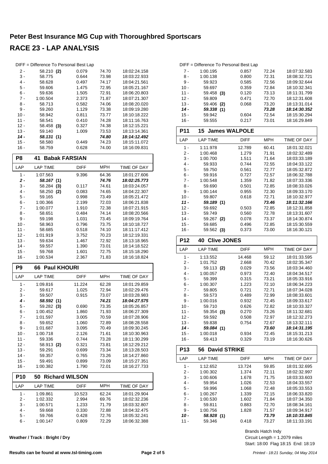|                  | DIFF = Difference To Personal Best Lap |                       |                |                              |
|------------------|----------------------------------------|-----------------------|----------------|------------------------------|
| 2 -              | 58.210 (2)                             | 0.079                 | 74.70          | 18:02:24.158                 |
| $3 -$            | 58.775                                 | 0.644                 | 73.98          | 18:03:22.933                 |
| $4 -$            | 58.628                                 | 0.497                 | 74.17          | 18:04:21.561                 |
| $5 -$            | 59.606                                 | 1.475                 | 72.95          | 18:05:21.167                 |
| 6 -              | 59.636                                 | 1.505                 | 72.91          | 18:06:20.803                 |
| 7 -              | 1:00.504                               | 2.373                 | 71.87          | 18:07:21.307                 |
| 8 -              | 58.713                                 | 0.582                 | 74.06          | 18:08:20.020                 |
| 9 -              | 59.260                                 | 1.129                 | 73.38          | 18:09:19.280                 |
| $10 -$           | 58.942                                 | 0.811                 | 73.77          | 18:10:18.222                 |
| $11 -$           | 58.541                                 | 0.410                 | 74.28          | 18:11:16.763                 |
| $12 -$           | 58.458 (3)                             | 0.327                 | 74.38          | 18:12:15.221                 |
| $13 -$           | 59.140                                 | 1.009                 | 73.53          | 18:13:14.361                 |
| 14 -             | 58.131 (1)                             |                       | 74.80          | 18:14:12.492                 |
| $15 -$           | 58.580                                 | 0.449                 | 74.23          | 18:15:11.072                 |
| $16 -$           | 58.759                                 | 0.628                 | 74.00          | 18:16:09.831                 |
|                  |                                        |                       |                |                              |
| P <sub>8</sub>   | 41                                     | <b>Babak FARSIAN</b>  |                |                              |
| LAP              | <b>LAP TIME</b>                        | DIFF                  | <b>MPH</b>     | TIME OF DAY                  |
| $1 -$            | 1:07.563                               | 9.396                 | 64.36          | 18:01:27.606                 |
| $2 -$            | 58.167 (1)                             |                       | 74.76          | 18:02:25.773                 |
| 3 -              | 58.284<br>(3)                          | 0.117                 | 74.61          | 18:03:24.057                 |
| 4 -              | 58.250 (2)                             | 0.083                 | 74.65          | 18:04:22.307                 |
| 5 -              | 59.165                                 | 0.998                 | 73.49          | 18:05:21.472                 |
| $6 -$            | 1:00.366                               | 2.199                 | 72.03          | 18:06:21.838                 |
| 7 -              | 1:00.077                               | 1.910                 | 72.38          | 18:07:21.915                 |
| 8 -              | 58.651                                 | 0.484                 | 74.14          | 18:08:20.566                 |
| 9 -              | 59.198                                 | 1.031                 | 73.45          | 18:09:19.764                 |
| $10 -$           | 58.963                                 | 0.796                 | 73.75          | 18:10:18.727                 |
| 11 -             | 58.685                                 | 0.518                 | 74.10          | 18:11:17.412                 |
| $12 -$           | 1:01.919                               | 3.752                 | 70.23          | 18:12:19.331                 |
| $13 -$           | 59.634                                 | 1.467                 | 72.92          | 18:13:18.965                 |
|                  |                                        |                       |                |                              |
|                  |                                        |                       |                |                              |
| $14 -$           | 59.557                                 | 1.390                 | 73.01          | 18:14:18.522                 |
| $15 -$<br>$16 -$ | 59.768<br>1:00.534                     | 1.601<br>2.367        | 72.75<br>71.83 | 18:15:18.290<br>18:16:18.824 |
|                  |                                        |                       |                |                              |
| P <sub>9</sub>   | <b>Paul KHOURI</b><br>66               |                       |                |                              |
| LAP              | <b>LAP TIME</b>                        | <b>DIFF</b>           | <b>MPH</b>     | TIME OF DAY                  |
| $1 -$            | 1:09.816                               | 11.224                | 62.28          | 18:01:29.859                 |
| 2 -              | 59.617                                 | 1.025                 | 72.94          | 18:02:29.476                 |
| 3 -              | 59.507                                 | 0.915                 | 73.07          | 18:03:28.983                 |
| 4 -              | 58.592 (1)                             |                       | 74.21          | 18:04:27.575                 |
| 5 -              | 59.282 (3)                             | 0.690                 | 73.35          | 18:05:26.857                 |
| 6 -              | 1:00.452                               | 1.860                 | 71.93          | 18:06:27.309                 |
| 7 -              | 1:01.597                               | 3.005                 | 70.59          | 18:07:28.906                 |
| 8 -              | 59.652                                 | 1.060                 | 72.89          | 18:08:28.558                 |
| 9 -              | 1:01.687                               | 3.095                 | 70.49          | 18:09:30.245                 |
| $10 -$           | 1:00.718                               | 2.126                 | 71.61          | 18:10:30.963                 |
| $11 -$           | 59.336                                 | 0.744                 | 73.28          | 18:11:30.299                 |
| $12 -$           | 58.913 (2)                             | 0.321                 | 73.81          | 18:12:29.212                 |
| 13 -             | 59.291                                 | 0.699                 | 73.34          | 18:13:28.503                 |
| $14 -$           | 59.357                                 | 0.765                 | 73.26          | 18:14:27.860                 |
| $15 -$           | 59.491                                 | 0.899                 | 73.09          | 18:15:27.351                 |
| 16 -             | 1:00.382                               | 1.790                 | 72.01          | 18:16:27.733                 |
| P <sub>10</sub>  | 50                                     | <b>Richard WILSON</b> |                |                              |
| LAP              | <b>LAP TIME</b>                        | <b>DIFF</b>           | <b>MPH</b>     | TIME OF DAY                  |
| $1 -$            | 1:09.861                               | 10.523                | 62.24          | 18:01:29.904                 |
| $2 -$            | 1:02.332                               | 2.994                 | 69.76          | 18:02:32.236                 |
| 3 -              | 1:00.571                               | 1.233                 | 71.79          | 18:03:32.807                 |
| 4 -              | 59.668                                 | 0.330                 | 72.88          | 18:04:32.475                 |
| 5 -<br>6 -       | 59.766<br>1:00.147                     | 0.428<br>0.809        | 72.76<br>72.29 | 18:05:32.241<br>18:06:32.388 |

**Weather / Track : Bright / Dry**

#### DIFF = Difference To Personal Best Lap 7 - 1:00.195 0.857 72.24 18:07:32.583<br>8 - 1:00.138 0.800 72.31 18:08:32.721 8 - 1:00.138 0.800 18:08:32.721 72.31 18:09:32.644 10 - 59.697 0.359 72.84 18:10:32.341<br>11 - 59.458 (3) 0.120 73.13 18:11:31.799 59.458 **(3)** 12 - 59.809 0.471 72.70 18:12:31.608<br>13 - 59.406 (2) 0.068 73.20 18:13:31.014 13 - 59.406 **(2)** 0.068 13.20 13.13:31.014<br>**59.338 (1)** 73.28 18:14:30.352 *14 - 59.338 18:14:30.352* **(1)** *73.28* 15 - 59.942 0.604 18:15:30.294 72.54 16 - 59.555 0.217 18:16:29.849 73.01

| <b>P11</b> | 15 James WALPOLE |             |            |              |
|------------|------------------|-------------|------------|--------------|
| LAP        | <b>LAP TIME</b>  | <b>DIFF</b> | <b>MPH</b> | TIME OF DAY  |
| 1 -        | 1:11.978         | 12.789      | 60.41      | 18:01:32.021 |
| 2 -        | 1:00.468         | 1.279       | 71.91      | 18:02:32.489 |
| 3 -        | 1:00.700         | 1.511       | 71.64      | 18:03:33.189 |
| 4 -        | 59.933           | 0.744       | 72.55      | 18:04:33.122 |
| 5 -        | 59.750           | 0.561       | 72.77      | 18:05:32.872 |
| 6 -        | 59.916           | 0.727       | 72.57      | 18:06:32.788 |
| 7 -        | 1:00.548         | 1.359       | 71.82      | 18:07:33.336 |
| 8 -        | 59.690           | 0.501       | 72.85      | 18:08:33.026 |
| 9 -        | 1:00.144         | 0.955       | 72.30      | 18:09:33.170 |
| $10 -$     | 59.807           | 0.618       | 72.71      | 18:10:32.977 |
| 11 -       | 59.189 (1)       |             | 73.46      | 18:11:32.166 |
| $12 -$     | 59.692           | 0.503       | 72.85      | 18:12:31.858 |
| $13 -$     | 59.749           | 0.560       | 72.78      | 18:13:31.607 |
| $14 -$     | 59.267<br>(2)    | 0.078       | 73.37      | 18:14:30.874 |
| 15 -       | 59.685           | 0.496       | 72.85      | 18:15:30.559 |
| 16 -       | 59.562<br>(3)    | 0.373       | 73.00      | 18:16:30.121 |

| <b>P12</b> | <b>40 Clive JONES</b> |             |            |                    |
|------------|-----------------------|-------------|------------|--------------------|
| LAP        | <b>LAP TIME</b>       | <b>DIFF</b> | <b>MPH</b> | <b>TIME OF DAY</b> |
| $1 -$      | 1:13.552              | 14.468      | 59.12      | 18:01:33.595       |
| $2 -$      | 1:01.752              | 2.668       | 70.42      | 18:02:35.347       |
| $3 -$      | 59.113 (2)            | 0.029       | 73.56      | 18:03:34.460       |
| 4 -        | 1:00.057              | 0.973       | 72.40      | 18:04:34.517       |
| $5 -$      | 59.399                | 0.315       | 73.21      | 18:05:33.916       |
| $6 -$      | 1:00.307              | 1.223       | 72.10      | 18:06:34.223       |
| $7 -$      | 59.805                | 0.721       | 72.71      | 18:07:34.028       |
| 8 -        | 59.573                | 0.489       | 72.99      | 18:08:33.601       |
| $9 -$      | 1:00.016              | 0.932       | 72.45      | 18:09:33.617       |
| $10 -$     | 59.710                | 0.626       | 72.82      | 18:10:33.327       |
| $11 -$     | 59.354 (3)            | 0.270       | 73.26      | 18:11:32.681       |
| $12 -$     | 59.592                | 0.508       | 72.97      | 18:12:32.273       |
| $13 -$     | 59.838                | 0.754       | 72.67      | 18:13:32.111       |
| $14 -$     | 59.084 (1)            |             | 73.60      | 18:14:31.195       |
| $15 -$     | 1:00.018              | 0.934       | 72.45      | 18:15:31.213       |
| $16 -$     | 59.413                | 0.329       | 73.19      | 18:16:30.626       |
| <b>P13</b> | 56 David STRIKE       |             |            |                    |
| LAP        | <b>LAP TIME</b>       | <b>DIFF</b> | <b>MPH</b> | <b>TIME OF DAY</b> |
| $1 -$      | 1:12.652              | 13.724      | 59.85      | 18:01:32.695       |
| 2 -        | 1:00.302              | 1.374       | 72.11      | 18:02:32.997       |
| $3 -$      | 1:00.606              | 1.678       | 71.75      | 18:03:33.603       |
| $4 -$      | 59.954                | 1.026       | 72.53      | 18:04:33.557       |
| $5 -$      | 59.996                | 1.068       | 72.48      | 18:05:33.553       |
| $6 -$      | 1:00.267              | 1.339       | 72.15      | 18:06:33.820       |
| $7 -$      | 1:00.530              | 1.602       | 71.84      | 18:07:34.350       |
| 8 -        | 59.811                | 0.883       | 72.70      | 18:08:34.161       |
| $9 -$      | 1:00.756              | 1.828       | 71.57      | 18:09:34.917       |

Start: 18:00 Flag 18:15 End: 18:19 Circuit Length = 1.2079 miles Brands Hatch Indy

9 - 1:00.756 1.828 18:09:34.917 71.57

*10 - 58.928 18:10:33.845* **(1)** *73.79* 11 - 59.346 0.418 73.27 18:11:33.191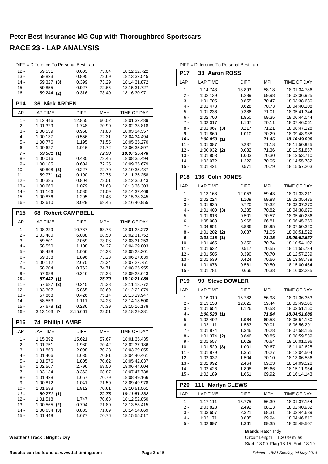# **Peter Best Insurance MG Cup with Thoroughbred Sportscars**

# **RACE 23 - LAP ANALYSIS**

|                  | DIFF = Difference To Personal Best Lap |                        |                |                              |
|------------------|----------------------------------------|------------------------|----------------|------------------------------|
| $12 -$           | 59.531                                 | 0.603                  | 73.04          | 18:12:32.722                 |
| $13 -$           | 59.823                                 | 0.895                  | 72.69          | 18:13:32.545                 |
| $14 -$           | 59.327 (3)                             | 0.399                  | 73.29          | 18:14:31.872                 |
| $15 -$           | 59.855                                 | 0.927                  | 72.65          | 18:15:31.727                 |
| $16 -$           | 59.244 (2)                             | 0.316                  | 73.40          | 18:16:30.971                 |
| <b>P14</b>       | 36<br><b>Nick ARDEN</b>                |                        |                |                              |
| LAP              | LAP TIME                               | <b>DIFF</b>            | <b>MPH</b>     | TIME OF DAY                  |
| $1 -$            | 1:12.446                               | 12.865                 | 60.02          | 18:01:32.489                 |
| 2 -              | 1:01.329                               | 1.748                  | 70.90          | 18:02:33.818                 |
| 3 -              | 1:00.539                               | 0.958                  | 71.83          | 18:03:34.357                 |
| $4 -$            | 1:00.137                               | 0.556                  | 72.31          | 18:04:34.494                 |
| 5 -              | 1:00.776                               | 1.195                  | 71.55          | 18:05:35.270                 |
| 6 -              | 1:00.627                               | 1.046                  | 71.72          | 18:06:35.897                 |
| 7 -              | 59.581 (1)                             |                        | 72.98          | 18:07:35.478                 |
| 8 -              | 1:00.016                               | 0.435                  | 72.45          | 18:08:35.494                 |
| 9 -              | 1:00.185                               | 0.604                  | 72.25          | 18:09:35.679<br>18:10:35.487 |
| $10 -$<br>11 -   | 59.808<br>(3)<br>59.771<br>(2)         | 0.227<br>0.190         | 72.70<br>72.75 | 18:11:35.258                 |
| $12 -$           | 1:00.385                               | 0.804                  | 72.01          | 18:12:35.643                 |
| $13 -$           | 1:00.660                               | 1.079                  | 71.68          | 18:13:36.303                 |
| $14 -$           | 1:01.166                               | 1.585                  | 71.09          | 18:14:37.469                 |
| $15 -$           | 1:00.876                               | 1.295                  | 71.43          | 18:15:38.345                 |
| $16 -$           | 1:02.610                               | 3.029                  | 69.45          | 18:16:40.955                 |
| P <sub>15</sub>  | 68                                     | <b>Robert CAMPBELL</b> |                |                              |
| LAP              | <b>LAP TIME</b>                        | <b>DIFF</b>            | <b>MPH</b>     | TIME OF DAY                  |
| 1 -              | 1:08.229                               | 10.787                 | 63.73          | 18:01:28.272                 |
| 2 -              | 1:03.480                               | 6.038                  | 68.50          | 18:02:31.752                 |
| 3 -              | 59.501                                 |                        |                |                              |
|                  |                                        | 2.059                  | 73.08          | 18:03:31.253                 |
| 4 -              | 58.550                                 | 1.108                  | 74.27          | 18:04:29.803                 |
| 5 -              | 58.498                                 | 1.056                  | 74.33          | 18:05:28.301                 |
| $6 -$            | 59.338                                 | 1.896                  | 73.28          | 18:06:27.639                 |
| 7 -              | 1:00.112                               | 2.670                  | 72.34          | 18:07:27.751                 |
| 8 -              | 58.204                                 | 0.762                  | 74.71          | 18:08:25.955                 |
| 9 -              | 57.688                                 | 0.246                  | 75.38          | 18:09:23.643                 |
| 10 -             | 57.442<br>(1)                          |                        | 75.70          | 18:10:21.085                 |
| $11 -$           | 57.687<br>(3)                          | 0.245                  | 75.38          | 18:11:18.772                 |
| $12 -$           | 1:03.307                               | 5.865                  | 68.69          | 18:12:22.079                 |
| $13 -$           | 57.868                                 | 0.426                  | 75.14          | 18:13:19.947                 |
| $14 -$<br>15 -   | 58.553<br>57.678                       | 1.111<br>0.236         | 74.26<br>75.39 | 18:14:18.500<br>18:15:16.178 |
| $16 -$           | (2)<br>3:13.103<br>Ρ                   | 2:15.661               | 22.51          | 18:18:29.281                 |
| <b>P16</b>       | <b>74 Phillip LAMBE</b>                |                        |                |                              |
| LAP              | <b>LAP TIME</b>                        | <b>DIFF</b>            | <b>MPH</b>     | TIME OF DAY                  |
| 1 -              | 1:15.392                               | 15.621                 | 57.67          | 18:01:35.435                 |
| 2 -              | 1:01.751                               | 1.980                  | 70.42          | 18:02:37.186                 |
| 3 -              | 1:01.869                               | 2.098                  | 70.28          | 18:03:39.055                 |
| 4 -              | 1:01.406                               | 1.635                  | 70.81          | 18:04:40.461                 |
| 5 -              | 1:01.576                               | 1.805                  | 70.62          | 18:05:42.037                 |
| 6 -              | 1:02.567                               | 2.796                  | 69.50          | 18:06:44.604                 |
| 7 -              | 1:03.134                               | 3.363                  | 68.87          | 18:07:47.738                 |
| 8 -              | 1:01.428                               | 1.657                  | 70.79          | 18:08:49.166                 |
| 9 -<br>10 -      | 1:00.812                               | 1.041<br>1.812         | 71.50          | 18:09:49.978<br>18:10:51.561 |
| 11 -             | 1:01.583<br>59.771 (1)                 |                        | 70.61<br>72.75 | 18:11:51.332                 |
| 12 -             | 1:01.518                               | 1.747                  | 70.68          | 18:12:52.850                 |
| $13 -$           | 1:00.565<br>(2)                        | 0.794                  | 71.80          | 18:13:53.415                 |
| $14 -$<br>$15 -$ | 1:00.654<br>(3)<br>1:01.448            | 0.883<br>1.677         | 71.69<br>70.76 | 18:14:54.069<br>18:15:55.517 |

|                  | DIFF = Difference To Personal Best Lap |                  |                |                              |
|------------------|----------------------------------------|------------------|----------------|------------------------------|
| P17              | 33<br><b>Aaron ROSS</b>                |                  |                |                              |
| LAP              | <b>LAP TIME</b>                        | <b>DIFF</b>      | <b>MPH</b>     | TIME OF DAY                  |
| 1 -              | 1:14.743                               | 13.893           | 58.18          | 18:01:34.786                 |
| 2 -              | 1:02.139                               | 1.289            | 69.98          | 18:02:36.925                 |
| 3 -              | 1:01.705                               | 0.855            | 70.47          | 18:03:38.630                 |
| 4 -              | 1:01.478                               | 0.628            | 70.73          | 18:04:40.108                 |
| 5 -<br>6 -       | 1:01.236                               | 0.386            | 71.01<br>69.35 | 18:05:41.344                 |
| 7 -              | 1:02.700<br>1:02.017                   | 1.850<br>1.167   | 70.11          | 18:06:44.044<br>18:07:46.061 |
| 8 -              | 1:01.067<br>(3)                        | 0.217            | 71.21          | 18:08:47.128                 |
| 9 -              | 1:01.860                               | 1.010            | 70.29          | 18:09:48.988                 |
| 10 -             | <i>1:00.850</i> (1)                    |                  | 71.46          | 18:10:49.838                 |
| 11 -             | 1:01.087                               | 0.237            | 71.18          | 18:11:50.925                 |
| $12 -$           | $1:00.932$ (2)                         | 0.082            | 71.36          | 18:12:51.857                 |
| $13 -$           | 1:01.853                               | 1.003            | 70.30          | 18:13:53.710                 |
| $14 -$           | 1:02.072                               | 1.222            | 70.05          | 18:14:55.782                 |
| $15 -$           | 1:01.421                               | 0.571            | 70.79          | 18:15:57.203                 |
| <b>P18</b>       | <b>Colin JONES</b><br>136              |                  |                |                              |
| LAP              | <b>LAP TIME</b>                        | <b>DIFF</b>      | <b>MPH</b>     | TIME OF DAY                  |
| 1 -              | 1:13.168                               | 12.053           | 59.43          | 18:01:33.211                 |
| 2 -<br>3 -       | 1:02.224<br>1:01.835                   | 1.109<br>0.720   | 69.88<br>70.32 | 18:02:35.435<br>18:03:37.270 |
| 4 -              | 1:01.400<br>(3)                        | 0.285            | 70.82          | 18:04:38.670                 |
| 5 -              | 1:01.616                               | 0.501            | 70.57          | 18:05:40.286                 |
| 6 -              | 1:05.083                               | 3.968            | 66.81          | 18:06:45.369                 |
| 7 -              | 1:04.951                               | 3.836            | 66.95          | 18:07:50.320                 |
| 8 -              | $1:01.202$ (2)                         | 0.087            | 71.05          | 18:08:51.522                 |
| 9 -              | 1:01.115(1)                            |                  | 71.15          | 18:09:52.637                 |
| $10 -$           | 1:01.465                               | 0.350            | 70.74          | 18:10:54.102                 |
| $11 -$           | 1:01.632                               | 0.517            | 70.55          | 18:11:55.734                 |
|                  |                                        |                  |                |                              |
| $12 -$           | 1:01.505                               | 0.390            | 70.70          | 18:12:57.239                 |
| $13 -$           | 1:01.539                               | 0.424            | 70.66          | 18:13:58.778                 |
| $14 -$<br>$15 -$ | 1:01.676<br>1:01.781                   | 0.561<br>0.666   | 70.50<br>70.38 | 18:15:00.454<br>18:16:02.235 |
| P19              | <b>Steve DOWLER</b><br>99              |                  |                |                              |
| LAP              | <b>LAP TIME</b>                        | DIFF             | <b>MPH</b>     | TIME OF DAY                  |
|                  |                                        |                  |                |                              |
| $1 -$<br>2 -     | 1:16.310<br>1:13.153                   | 15.782<br>12.625 | 56.98<br>59.44 | 18:01:36.353<br>18:02:49.506 |
| $3 -$            | 1:01.654                               | 1.126            | 70.53          | 18:03:51.160                 |
| 4 -              | 1:00.528(1)                            |                  | 71.84          | 18:04:51.688                 |
| $5 -$            | 1:02.492                               | 1.964            | 69.58          | 18:05:54.180                 |
| $6 -$            | 1:02.111                               | 1.583            | 70.01          | 18:06:56.291                 |
| $7 -$            | 1:01.874                               | 1.346            | 70.28          | 18:07:58.165                 |
| 8 -              | 1:01.374<br>(2)                        | 0.846            | 70.85          | 18:08:59.539                 |
| 9 -              | 1:01.557                               | 1.029            | 70.64          | 18:10:01.096                 |
| $10 -$<br>$11 -$ | $1:01.529$ (3)<br>1:01.879             | 1.001<br>1.351   | 70.67<br>70.27 | 18:11:02.625<br>18:12:04.504 |
| $12 -$           | 1:02.032                               | 1.504            | 70.10          | 18:13:06.536                 |
| $13 -$           | 1:02.992                               | 2.464            | 69.03          | 18:14:09.528                 |
| 14 -             | 1:02.426                               | 1.898            | 69.66          | 18:15:11.954                 |
| $15 -$           | 1:02.189                               | 1.661            | 69.92          | 18:16:14.143                 |
| <b>P20</b>       | 111<br><b>Martyn CLEWS</b>             |                  |                |                              |
| LAP              | <b>LAP TIME</b>                        | <b>DIFF</b>      | <b>MPH</b>     | TIME OF DAY                  |
| $1 -$            | 1:17.111                               | 15.775           | 56.39          | 18:01:37.154                 |
| 2 -              | 1:03.828                               | 2.492            | 68.13          | 18:02:40.982                 |
| 3 -              | 1:03.657                               | 2.321            | 68.31          | 18:03:44.639                 |
| $4 -$<br>$5 -$   | 1:02.171<br>1:02.697                   | 0.835<br>1.361   | 69.94<br>69.35 | 18:04:46.810<br>18:05:49.507 |

Brands Hatch Indy

Start: 18:00 Flag 18:15 End: 18:19 Circuit Length = 1.2079 miles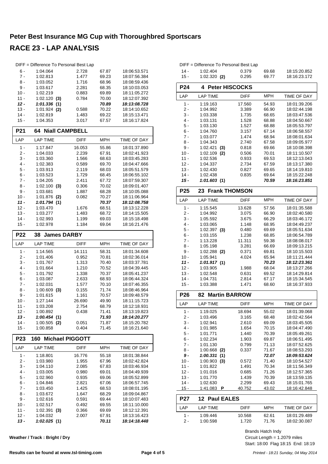|                  | DIFF = Difference To Personal Best Lap |             |                |                              |
|------------------|----------------------------------------|-------------|----------------|------------------------------|
| 6 -              | 1:04.064                               | 2.728       | 67.87          | 18:06:53.571                 |
| $7 -$            | 1:02.813                               | 1.477       | 69.23          | 18:07:56.384                 |
| 8 -              | 1:03.052                               | 1.716       | 68.96          | 18:08:59.436                 |
| 9 -              | 1:03.617                               | 2.281       | 68.35          | 18:10:03.053                 |
| $10 -$           | 1:02.219                               | 0.883       | 69.89          | 18:11:05.272                 |
| $11 -$           | $1:02.120$ (3)                         | 0.784       | 70.00          | 18:12:07.392                 |
| $12 -$           | 1:01.336<br>(1)                        |             | 70.89          | 18:13:08.728                 |
| $13 -$           | $1:01.924$ (2)                         | 0.588       | 70.22          | 18:14:10.652                 |
| $14 -$           | 1:02.819                               | 1.483       | 69.22          | 18:15:13.471                 |
| $15 -$           | 1:04.353                               | 3.017       | 67.57          | 18:16:17.824                 |
| P21              | <b>Niall CAMPBELL</b><br>64            |             |                |                              |
| LAP              | <b>LAP TIME</b>                        | <b>DIFF</b> | MPH            | TIME OF DAY                  |
| $1 -$            | 1:17.847                               | 16.053      | 55.86          | 18:01:37.890                 |
| 2 -              | 1:04.033                               | 2.239       | 67.91          | 18:02:41.923                 |
| 3 -              | 1:03.360                               | 1.566       | 68.63          | 18:03:45.283                 |
| 4 -              | 1:02.383                               | 0.589       | 69.70          | 18:04:47.666                 |
| 5 -              | 1:03.913                               | 2.119       | 68.03          | 18:05:51.579                 |
| 6 -              | 1:03.523                               | 1.729       | 68.45          | 18:06:55.102                 |
| $7 -$            | 1:04.205                               | 2.411       | 67.72          | 18:07:59.307                 |
| 8 -              | $1:02.100$ (3)                         | 0.306       | 70.02          | 18:09:01.407                 |
| 9 -              | 1:03.681                               | 1.887       | 68.28          | 18:10:05.088                 |
| $10 -$           | 1:01.876 (2)                           | 0.082       | 70.27          | 18:11:06.964                 |
| $11 -$           | 1:01.794(1)                            |             | 70.37          | 18:12:08.758                 |
| $12 -$           | 1:03.470                               | 1.676       | 68.51          | 18:13:12.228                 |
| $13 -$           | 1:03.277                               | 1.483       | 68.72          | 18:14:15.505                 |
| 14 -             | 1:02.993                               | 1.199       | 69.03          | 18:15:18.498                 |
| $15 -$           | 1:02.978                               | 1.184       | 69.04          | 18:16:21.476                 |
|                  |                                        |             |                |                              |
| P22              | <b>James DARBY</b><br>38               |             |                |                              |
| LAP              | <b>LAP TIME</b>                        | DIFF        | MPH            | TIME OF DAY                  |
|                  |                                        |             |                |                              |
| 1 -              | 1:14.565                               | 14.111      | 58.31          | 18:01:34.608                 |
| 2 -              | 1:01.406                               | 0.952       | 70.81          | 18:02:36.014                 |
| 3 -              | 1:01.767                               | 1.313       | 70.40          | 18:03:37.781                 |
| 4 -              | 1:01.664                               | 1.210       | 70.52          | 18:04:39.445                 |
| 5 -              | 1:01.792                               | 1.338       | 70.37          | 18:05:41.237                 |
| 6 -              | 1:03.087                               | 2.633       | 68.93          | 18:06:44.324                 |
| $7 -$            | 1:02.031                               | 1.577       | 70.10          | 18:07:46.355                 |
| 8 -              | $1:00.609$ (3)                         | 0.155       | 71.74          | 18:08:46.964                 |
| 9 -              | 1:01.615                               | 1.161       | 70.57          | 18:09:48.579                 |
| $10 -$           | 1:27.144                               | 26.690      | 49.90          | 18:11:15.723                 |
| 11 -             | 1:03.208                               | 2.754       | 68.79          | 18:12:18.931                 |
| $12 -$           | 1:00.892                               | 0.438       | 71.41          | 18:13:19.823                 |
| $13 -$           | 1:00.454(1)                            |             | 71.93          | 18:14:20.277                 |
| $14 -$           | $1:00.505$ (2)                         | 0.051       | 71.87          | 18:15:20.782                 |
| $15 -$           | 1:00.858                               | 0.404       | 71.45          | 18:16:21.640                 |
| P <sub>23</sub>  | <b>Michael PIGGOTT</b><br>160          |             |                |                              |
| LAP              | <b>LAP TIME</b>                        | DIFF        | MPH            | TIME OF DAY                  |
| 1 -              | 1:18.801                               | 16.776      | 55.18          | 18:01:38.844                 |
| $2 -$            | 1:03.980                               | 1.955       | 67.96          | 18:02:42.824                 |
| $3 -$            | 1:04.110                               | 2.085       | 67.83          | 18:03:46.934                 |
| 4 -              | 1:03.005                               | 0.980       | 69.01          | 18:04:49.939                 |
| $5 -$            | 1:02.960                               | 0.935       | 69.06          | 18:05:52.899                 |
| $6 -$            | 1:04.846                               | 2.821       | 67.06          | 18:06:57.745                 |
| $7 -$            | 1:03.450                               | 1.425       | 68.53          | 18:08:01.195                 |
| 8 -              | 1:03.672                               | 1.647       | 68.29          | 18:09:04.867                 |
| 9 -              | 1:02.616                               | 0.591       | 69.44          | 18:10:07.483                 |
| $10 -$           | 1:02.517                               | 0.492       | 69.55          | 18:11:10.000                 |
| $11 -$           | 1:02.391<br>(3)                        | 0.366       | 69.69          | 18:12:12.391                 |
| $12 -$<br>$13 -$ | 1:04.032<br>1:02.025(1)                | 2.007       | 67.91<br>70.11 | 18:13:16.423<br>18:14:18.448 |

| 12 -            | 1:04.337                   | 2.734       | 67.59      | 18:13:17.380 |
|-----------------|----------------------------|-------------|------------|--------------|
| $13 -$          | 1:02.430                   | 0.827       | 69.65      | 18:14:19.810 |
| $14 -$          | 1:02.438                   | 0.835       | 69.64      | 18:15:22.248 |
| $15 -$          | 1:01.603 (1)               |             | 70.59      | 18:16:23.851 |
| P <sub>25</sub> | <b>Frank THOMSON</b><br>23 |             |            |              |
| LAP             | <b>LAP TIME</b>            | <b>DIFF</b> | <b>MPH</b> | TIME OF DAY  |
| $1 -$           | 1:15.545                   | 13.628      | 57.56      | 18:01:35.588 |
| $2-$            | 1:04.992                   | 3.075       | 66.90      | 18:02:40.580 |
| $3 -$           | 1:05.592                   | 3.675       | 66.29      | 18:03:46.172 |
| $4 -$           | 1:03.065                   | 1.148       | 68.95      | 18:04:49.237 |
| $5 -$           | 1:02.397(3)                | 0.480       | 69.69      | 18:05:51.634 |
| 6 -             | 1:03.155                   | 1.238       | 68.85      | 18:06:54.789 |
| $7 -$           | 1:13.228                   | 11.311      | 59.38      | 18:08:08.017 |
| 8 -             | 1:05.198                   | 3.281       | 66.69      | 18:09:13.215 |
| 9 -             | 1:02.288<br>(2)            | 0.371       | 69.81      | 18:10:15.503 |
| $10 -$          | 1:05.941                   | 4.024       | 65.94      | 18:11:21.444 |
| 11 -            | 1:01.917(1)                |             | 70.23      | 18:12:23.361 |
| $12 -$          | 1:03.905                   | 1.988       | 68.04      | 18:13:27.266 |
| $13 -$          | 1:02.548                   | 0.631       | 69.52      | 18:14:29.814 |
| $14 -$          | 1:04.731                   | 2.814       | 67.17      | 18:15:34.545 |
| $15 -$          | 1:03.388                   | 1.471       | 68.60      | 18:16:37.933 |
|                 |                            |             |            |              |
| P <sub>26</sub> | <b>Martin BARROW</b><br>82 |             |            |              |
| LAP             | <b>LAP TIME</b>            | DIFF        | <b>MPH</b> | TIME OF DAY  |
| $1 -$           | 1:19.025                   | 18.694      | 55.02      | 18:01:39.068 |
| $2-$            | 1:03.496                   | 3.165       | 68.48      | 18:02:42.564 |
| $3 -$           | 1:02.941                   | 2.610       | 69.09      | 18:03:45.505 |
| $4 -$           | 1:01.985                   | 1.654       | 70.15      | 18:04:47.490 |
| 5 -             | 1:01.771                   | 1.440       | 70.39      | 18:05:49.261 |
| $6 -$           | 1:02.234                   | 1.903       | 69.87      | 18:06:51.495 |
| $7 -$           | 1:01.130                   | 0.799       | 71.13      | 18:07:52.625 |
| 8 -             | 1:00.668<br>(2)            | 0.337       | 71.67      | 18:08:53.293 |
| 9 -             | 1:00.331<br>(1)            |             | 72.07      | 18:09:53.624 |
| $10 -$          | 1:00.903<br>(3)            | 0.572       | 71.40      | 18:10:54.527 |
| $11 -$          | 1:01.822                   | 1.491       | 70.34      | 18:11:56.349 |
| $12 -$          | 1:01.016                   | 0.685       | 71.26      | 18:12:57.365 |
| $13 -$          | 1:01.770                   | 1.439       | 70.39      | 18:13:59.135 |
| $14 -$          | 1:02.630                   | 2.299       | 69.43      | 18:15:01.765 |
| $15 -$          | 1:41.083<br>P              | 40.752      | 43.02      | 18:16:42.848 |
| <b>P27</b>      | <b>Paul EALES</b><br>12    |             |            |              |
| LAP             | <b>LAP TIME</b>            | <b>DIFF</b> | <b>MPH</b> | TIME OF DAY  |
| $1 -$           | 1:09.446                   | 10.568      | 62.61      | 18:01:29.489 |

DIFF = Difference To Personal Best Lap

**P24 4 Peter HISCOCKS**

1:02.109 (2)

14 - 1:02.404 0.379 69.68 18:15:20.852<br>15 - 1:02.320 (2) 0.295 69.77 18:16:23.172 1:02.320 (2) 0.295 69.77

LAP LAP TIME DIFF MPH TIME OF DAY 1 - 1:19.163 17.560 54.93 18:01:39.206 2 - 1:04.992 3.389 18:02:44.198 66.90 3 - 1:03.338 1.735 68.65 18:03:47.536 4 - 1:03.131 1.528 68.88 18:04:50.667<br>5 - 1:03.130 1.527 68.88 18:05:53.797 5 - 1:03.130 1.527 18:05:53.797 68.88 6 - 1:04.760 3.157 67.14 18:06:58.557 7 - 1:03.077 1.474 18:08:01.634 68.94 8 - 1:04.343 2.740 67.58 18:09:05.977<br>9 - 1:02.421 (3) 0.818 69.66 18:10:08.398 9 - 1:02.421 **(3)** 0.818 69.66 18:10:08.398<br>10 - 1:02.109 **(2)** 0.506 70.01 18:11:10.507

11 - 1:02.536 0.933 18:12:13.043 69.53

Brands Hatch Indy

**Weather / Track : Bright / Dry**